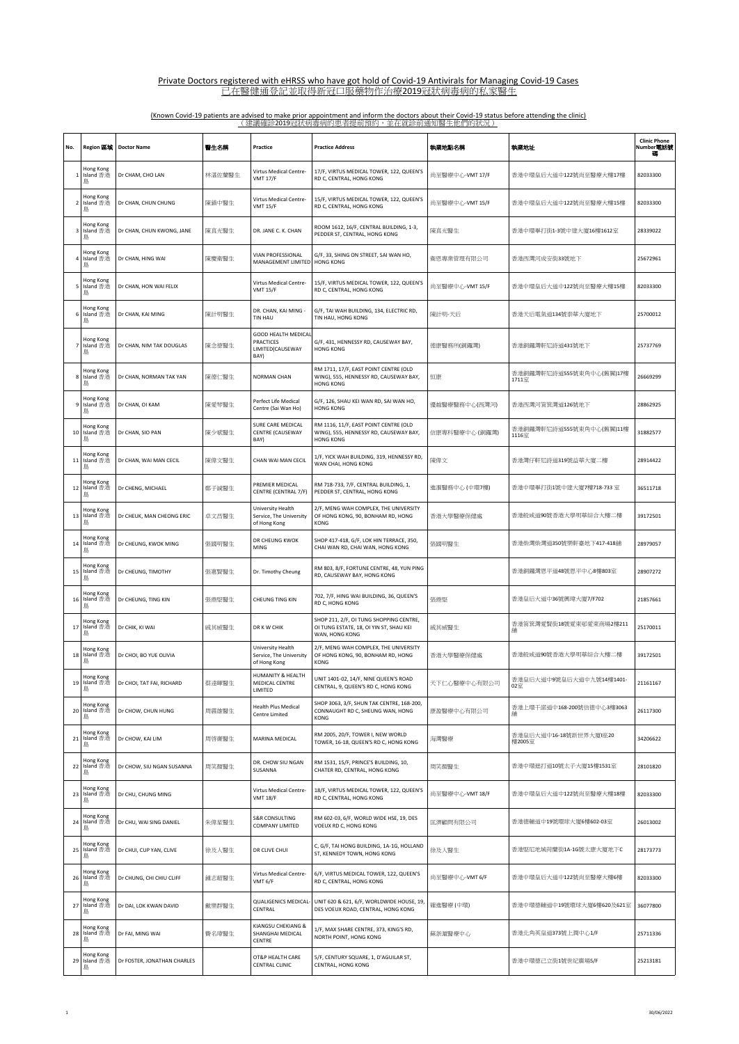| No.            | Region 區域                   | <b>Doctor Name</b>          | 醫生名稱   | Practice                                                                   | <b>Practice Address</b>                                                                              | 執業地點名稱          | 執業地址                              | <b>Clinic Phone</b><br>Number <b>電話號</b> |
|----------------|-----------------------------|-----------------------------|--------|----------------------------------------------------------------------------|------------------------------------------------------------------------------------------------------|-----------------|-----------------------------------|------------------------------------------|
| 1              | Hong Kong<br>Island 香港<br>島 | Dr CHAM, CHO LAN            | 林湛佐蘭醫生 | Virtus Medical Centre-<br><b>VMT 17/F</b>                                  | 17/F, VIRTUS MEDICAL TOWER, 122, QUEEN'S<br>RD C, CENTRAL, HONG KONG                                 | 尚至醫療中心-VMT 17/F | 香港中環皇后大道中122號尚至醫療大樓17樓            | 82033300                                 |
|                | Hong Kong<br>Island 香港<br>島 | Dr CHAN, CHUN CHUNG         | 陳鎮中醫生  | Virtus Medical Centre-<br><b>VMT 15/F</b>                                  | 15/F, VIRTUS MEDICAL TOWER, 122, QUEEN'S<br>RD C, CENTRAL, HONG KONG                                 | 尚至醫療中心-VMT 15/F | 香港中環皇后大道中122號尚至醫療大樓15樓            | 82033300                                 |
| 3              | Hong Kong<br>Island 香港<br>島 | Dr CHAN, CHUN KWONG, JANE   | 陳真光醫生  | DR. JANE C. K. CHAN                                                        | ROOM 1612, 16/F, CENTRAL BUILDING, 1-3,<br>PEDDER ST, CENTRAL, HONG KONG                             | 陳真光醫生           | 香港中環畢打街1-3號中建大廈16樓1612室           | 28339022                                 |
|                | Hong Kong<br>Island 香港<br>島 | Dr CHAN, HING WAI           | 陳慶衛醫生  | VIAN PROFESSIONAL<br>MANAGEMENT LIMITED                                    | G/F, 33, SHING ON STREET, SAI WAN HO,<br><b>HONG KONG</b>                                            | 衛恩專業管理有限公司      | 香港西灣河成安街33號地下                     | 25672961                                 |
| 5              | Hong Kong<br>Island 香港<br>島 | Dr CHAN, HON WAI FELIX      |        | Virtus Medical Centre-<br><b>VMT 15/F</b>                                  | 15/F, VIRTUS MEDICAL TOWER, 122, QUEEN'S<br>RD C, CENTRAL, HONG KONG                                 | 尚至醫療中心-VMT 15/F | 香港中環皇后大道中122號尚至醫療大樓15樓            | 82033300                                 |
|                | Hong Kong<br>Island 香港<br>島 | Dr CHAN, KAI MING           | 陳計明醫生  | DR. CHAN, KAI MING -<br>TIN HAU                                            | G/F, TAI WAH BUILDING, 134, ELECTRIC RD,<br>TIN HAU, HONG KONG                                       | 陳計明-天后          | 香港天后電氣道134號泰華大廈地下                 | 25700012                                 |
| $\overline{7}$ | Hong Kong<br>Island 香港<br>島 | Dr CHAN, NIM TAK DOUGLAS    | 陳念德醫生  | <b>GOOD HEALTH MEDICAL</b><br><b>PRACTICES</b><br>LIMITED(CAUSEWAY<br>BAY) | G/F, 431, HENNESSY RD, CAUSEWAY BAY,<br><b>HONG KONG</b>                                             | 德康醫務所(銅鑼灣)      | 香港銅鑼灣軒尼詩道431號地下                   | 25737769                                 |
| 8              | Hong Kong<br>Island 香港<br>島 | Dr CHAN, NORMAN TAK YAN     | 陳德仁醫生  | NORMAN CHAN                                                                | RM 1711, 17/F, EAST POINT CENTRE (OLD<br>WING), 555, HENNESSY RD, CAUSEWAY BAY,<br><b>HONG KONG</b>  | 恒康              | 香港銅鑼灣軒尼詩道555號東角中心(舊翼)17樓<br>1711室 | 26669299                                 |
| 9              | Hong Kong<br>Island 香港<br>鳥 | Dr CHAN, OI KAM             | 陳愛琴醫生  | Perfect Life Medical<br>Centre (Sai Wan Ho)                                | G/F, 126, SHAU KEI WAN RD, SAI WAN HO,<br><b>HONG KONG</b>                                           | 優越醫療醫務中心(西灣河)   | 香港西灣河筲箕灣道126號地下                   | 28862925                                 |
| 10             | Hong Kong<br>Island 香港<br>島 | Dr CHAN, SIO PAN            | 陳少斌醫生  | SURE CARE MEDICAL<br><b>CENTRE (CAUSEWAY</b><br>BAY)                       | RM 1116, 11/F, EAST POINT CENTRE (OLD<br>WING), 555, HENNESSY RD, CAUSEWAY BAY,<br><b>HONG KONG</b>  | 信康專科醫療中心 (銅鑼灣)  | 香港銅鑼灣軒尼詩道555號東角中心(舊翼)11樓<br>1116室 | 31882577                                 |
| 11             | Hong Kong<br>Island 香港<br>島 | Dr CHAN, WAI MAN CECIL      | 陳偉文醫生  | CHAN WAI MAN CECIL                                                         | 1/F, YICK WAH BUILDING, 319, HENNESSY RD,<br>WAN CHAI, HONG KONG                                     | 陳偉文             | 香港灣仔軒尼詩道319號益華大廈二樓                | 28914422                                 |
| 12             | Hong Kong<br>Island 香港<br>島 | Dr CHENG, MICHAEL           | 鄭子誠醫生  | PREMIER MEDICAL<br>CENTRE (CENTRAL 7/F)                                    | RM 718-733, 7/F, CENTRAL BUILDING, 1,<br>PEDDER ST, CENTRAL, HONG KONG                               | 進滙醫務中心 (中環7樓)   | 香港中環畢打街1號中建大廈7樓718-733 室          | 36511718                                 |
| 13             | Hong Kong<br>Island 香港<br>島 | Dr CHEUK, MAN CHEONG ERIC   | 卓文昌醫生  | University Health<br>Service, The University<br>of Hong Kong               | 2/F, MENG WAH COMPLEX, THE UNIVERSITY<br>OF HONG KONG, 90, BONHAM RD, HONG<br>KONG                   | 香港大學醫療保健處       | 香港般咸道90號香港大學明華綜合大樓二樓              | 39172501                                 |
| 14             | Hong Kong<br>Island 香港<br>島 | Dr CHEUNG, KWOK MING        | 張國明醫生  | DR CHEUNG KWOK<br>MING                                                     | SHOP 417-418, G/F, LOK HIN TERRACE, 350,<br>CHAI WAN RD, CHAI WAN, HONG KONG                         | 張國明醫生           | 香港柴灣柴灣道350號樂軒臺地下417-418舖          | 28979057                                 |
| 15             | Hong Kong<br>Island 香港<br>島 | Dr CHEUNG, TIMOTHY          | 張惠賢醫生  | Dr. Timothy Cheung                                                         | RM 803, 8/F, FORTUNE CENTRE, 48, YUN PING<br>RD, CAUSEWAY BAY, HONG KONG                             |                 | 香港銅鑼灣恩平道48號恩平中心8樓803室             | 28907272                                 |
| 16             | Hong Kong<br>Island 香港<br>島 | Dr CHEUNG, TING KIN         | 張鼎堅醫生  | CHEUNG TING KIN                                                            | 702, 7/F, HING WAI BUILDING, 36, QUEEN'S<br>RD C, HONG KONG                                          | 張鼎堅             | 香港皇后大道中36號興瑋大廈7/F702              | 21857661                                 |
| 17             | Hong Kong<br>Island 香港<br>島 | Dr CHIK, KI WAI             | 戚其威醫生  | DR K W CHIK                                                                | SHOP 211, 2/F, OI TUNG SHOPPING CENTRE,<br>OI TUNG ESTATE, 18, OI YIN ST, SHAU KEI<br>WAN, HONG KONG | 戚其威醫生           | 香港筲箕灣愛賢街18號愛東邨愛東商場2樓211           | 25170011                                 |
| 18             | Hong Kong<br>Island 香港      | Dr CHOI, BO YUE OLIVIA      |        | University Health<br>Service, The University<br>of Hong Kong               | 2/F, MENG WAH COMPLEX, THE UNIVERSITY<br>OF HONG KONG, 90, BONHAM RD, HONG<br>KONG                   | 香港大學醫療保健處       | 香港般咸道90號香港大學明華綜合大樓二樓              | 39172501                                 |
| 19             | Hong Kong<br>Island 香港<br>島 | Dr CHOI, TAT FAI, RICHARD   | 蔡達暉醫生  | HUMANITY & HEALTH<br>MEDICAL CENTRE<br>LIMITED                             | UNIT 1401-02, 14/F, NINE QUEEN'S ROAD<br>CENTRAL, 9, QUEEN'S RD C, HONG KONG                         | 天下仁心醫療中心有限公司    | 香港皇后大道中9號皇后大道中九號14樓1401-<br>02 至  | 21161167                                 |
| 20             | Hong Kong<br>Island 香港<br>島 | Dr CHOW, CHUN HUNG          | 周震雄醫生  | Health Plus Medical<br>Centre Limited                                      | SHOP 3063, 3/F, SHUN TAK CENTRE, 168-200,<br>CONNAUGHT RD C, SHEUNG WAN, HONG<br>KONG                | 康盈醫療中心有限公司      | 香港上環干諾道中168-200號信德中心3樓3063        | 26117300                                 |
| 21             | Hong Kong<br>Island 香港<br>島 | Dr CHOW, KAI LIM            | 周啓亷醫生  | MARINA MEDICAL                                                             | RM 2005, 20/F, TOWER I, NEW WORLD<br>TOWER, 16-18, QUEEN'S RD C, HONG KONG                           | 海灣醫療            | 香港皇后大道中16-18號新世界大廈I座20<br>樓2005室  | 34206622                                 |
| 22             | Hong Kong<br>Island 香港<br>島 | Dr CHOW, SIU NGAN SUSANNA   | 周笑顏醫生  | DR. CHOW SIU NGAN<br>SUSANNA                                               | RM 1531, 15/F, PRINCE'S BUILDING, 10,<br>CHATER RD, CENTRAL, HONG KONG                               | 周笑顏醫生           | 香港中環遮打道10號太子大廈15樓1531室            | 28101820                                 |
| 23             | Hong Kong<br>Island 香港<br>島 | Dr CHU, CHUNG MING          |        | Virtus Medical Centre-<br><b>VMT 18/F</b>                                  | 18/F, VIRTUS MEDICAL TOWER, 122, QUEEN'S<br>RD C, CENTRAL, HONG KONG                                 | 尚至醫療中心-VMT 18/F | 香港中環皇后大道中122號尚至醫療大樓18樓            | 82033300                                 |
| 24             | Hong Kong<br>Island 香港<br>島 | Dr CHU, WAI SING DANIEL     | 朱偉星醫生  | <b>S&amp;R CONSULTING</b><br><b>COMPANY LIMITED</b>                        | RM 602-03, 6/F, WORLD WIDE HSE, 19, DES<br>VOEUX RD C, HONG KONG                                     | 匡濟顧問有限公司        | 香港德輔道中19號環球大廈6樓602-03室            | 26013002                                 |
| 25             | Hong Kong<br>Island 香港<br>島 | Dr CHUI, CUP YAN, CLIVE     | 徐及人醫生  | DR CLIVE CHUI                                                              | C, G/F, TAI HONG BUILDING, 1A-1G, HOLLAND<br>ST, KENNEDY TOWN, HONG KONG                             | 徐及人醫生           | 香港堅尼地城荷蘭街1A-1G號太康大廈地下C            | 28173773                                 |
| 26             | Hong Kong<br>Island 香港<br>島 | Dr CHUNG, CHI CHIU CLIFF    | 鍾志超醫生  | Virtus Medical Centre-<br>VMT 6/F                                          | 6/F, VIRTUS MEDICAL TOWER, 122, QUEEN'S<br>RD C, CENTRAL, HONG KONG                                  | 尚至醫療中心-VMT 6/F  | 香港中環皇后大道中122號尚至醫療大樓6樓             | 82033300                                 |
| 27             | Hong Kong<br>Island 香港<br>島 | Dr DAI, LOK KWAN DAVID      | 戴樂群醫生  | QUALIGENICS MEDICAL-<br>CENTRAL                                            | UNIT 620 & 621, 6/F, WORLDWIDE HOUSE, 19,<br>DES VOEUX ROAD, CENTRAL, HONG KONG                      | 確進醫療 (中環)       | 香港中環德輔道中19號環球大廈6樓620及621室         | 36077800                                 |
| 28             | Hong Kong<br>Island 香港<br>島 | Dr FAI, MING WAI            | 費名瑋醫生  | KIANGSU CHEKIANG &<br>SHANGHAI MEDICAL<br>CENTRE                           | 1/F, MAX SHARE CENTRE, 373, KING'S RD,<br>NORTH POINT, HONG KONG                                     | 蘇浙滬醫療中心         | 香港北角英皇道373號上潤中心1/F                | 25711336                                 |
| 29             | Hong Kong<br>Island 香港<br>鳥 | Dr FOSTER, JONATHAN CHARLES |        | OT&P HEALTH CARE<br>CENTRAL CLINIC                                         | 5/F, CENTURY SQUARE, 1, D'AGUILAR ST,<br>CENTRAL, HONG KONG                                          |                 | 香港中環德己立街1號世紀廣場5/F                 | 25213181                                 |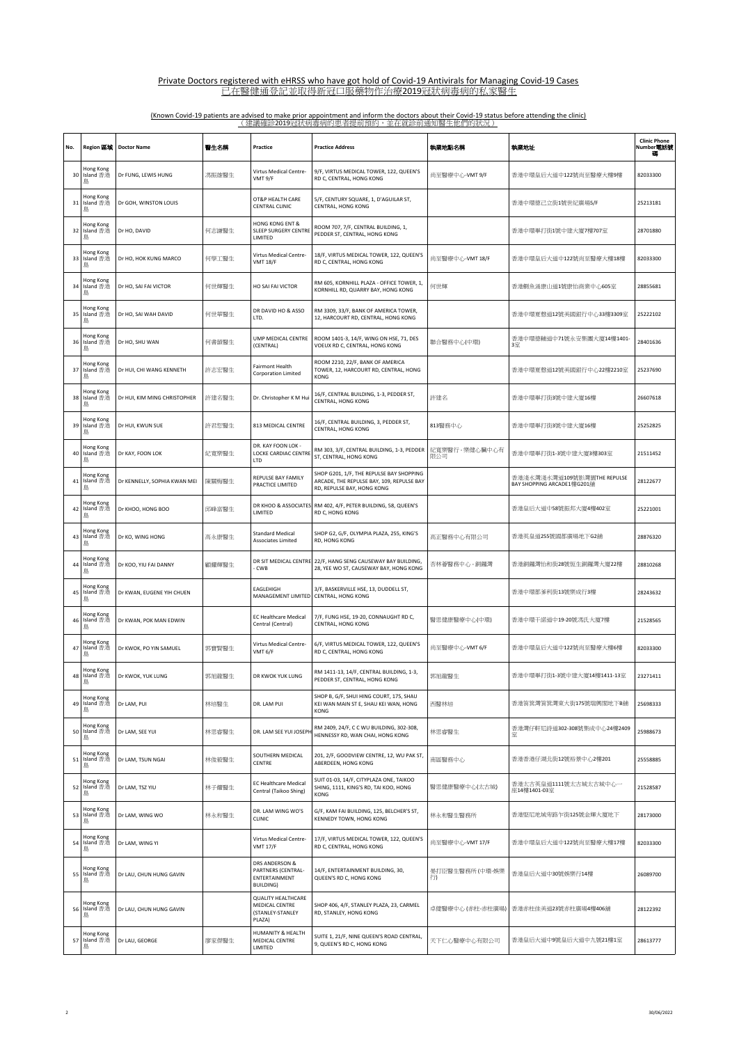| No. | Region 區域                   | <b>Doctor Name</b>           | 警生名稱  | Practice                                                                  | <b>Practice Address</b>                                                                                             | 執業地點名稱                 | 執業地址                                                      | <b>Clinic Phone</b><br>Number電話號 |
|-----|-----------------------------|------------------------------|-------|---------------------------------------------------------------------------|---------------------------------------------------------------------------------------------------------------------|------------------------|-----------------------------------------------------------|----------------------------------|
| 30  | Hong Kong<br>Island 香港<br>島 | Dr FUNG, LEWIS HUNG          | 馮振雄醫生 | Virtus Medical Centre-<br>VMT 9/F                                         | 9/F, VIRTUS MEDICAL TOWER, 122, QUEEN'S<br>RD C, CENTRAL, HONG KONG                                                 | 尚至醫療中心-VMT 9/F         | 香港中環皇后大道中122號尚至醫療大樓9樓                                     | 82033300                         |
| 31  | Hong Kong<br>Island 香港<br>島 | Dr GOH, WINSTON LOUIS        |       | OT&P HEALTH CARE<br>CENTRAL CLINIC                                        | 5/F, CENTURY SQUARE, 1, D'AGUILAR ST,<br>CENTRAL, HONG KONG                                                         |                        | 香港中環德己立街1號世紀廣場5/F                                         | 25213181                         |
| 32  | Hong Kong<br>Island 香港<br>島 | Dr HO, DAVID                 | 何志謙醫生 | HONG KONG ENT &<br><b>SLEEP SURGERY CENTRE</b><br>LIMITED                 | ROOM 707, 7/F, CENTRAL BUILDING, 1,<br>PEDDER ST, CENTRAL, HONG KONG                                                |                        | 香港中環畢打街1號中建大廈7樓707室                                       | 28701880                         |
| 33  | Hong Kong<br>Island 香港<br>島 | Dr HO, HOK KUNG MARCO        | 何學工醫生 | Virtus Medical Centre-<br><b>VMT 18/F</b>                                 | 18/F, VIRTUS MEDICAL TOWER, 122, QUEEN'S<br>RD C, CENTRAL, HONG KONG                                                | 尚至醫療中心-VMT 18/F        | 香港中環皇后大道中122號尚至醫療大樓18樓                                    | 82033300                         |
| 34  | Hong Kong<br>Island 香港<br>島 | Dr HO, SAI FAI VICTOR        | 何世輝醫生 | HO SAI FAI VICTOR                                                         | RM 605, KORNHILL PLAZA - OFFICE TOWER, 1,<br>KORNHILL RD, QUARRY BAY, HONG KONG                                     | 何世輝                    | 香港鰂魚涌康山道1號康怡商業中心605室                                      | 28855681                         |
| 35  | Hong Kong<br>Island 香港<br>島 | Dr HO, SAI WAH DAVID         | 何世華醫生 | DR DAVID HO & ASSO<br>LTD.                                                | RM 3309, 33/F, BANK OF AMERICA TOWER,<br>12, HARCOURT RD, CENTRAL, HONG KONG                                        |                        | 香港中環夏慤道12號美國銀行中心33樓3309室                                  | 25222102                         |
| 36  | Hong Kong<br>Island 香港<br>島 | Dr HO, SHU WAN               | 何書韻醫生 | UMP MEDICAL CENTRE<br>(CENTRAL)                                           | ROOM 1401-3, 14/F, WING ON HSE, 71, DES<br>VOEUX RD C, CENTRAL, HONG KONG                                           | 聯合醫務中心(中環)             | 香港中環德輔道中71號永安集團大廈14樓1401-<br>3室                           | 28401636                         |
| 37  | Hong Kong<br>Island 香港<br>島 | Dr HUI, CHI WANG KENNETH     | 許志宏醫生 | Fairmont Health<br><b>Corporation Limited</b>                             | ROOM 2210, 22/F, BANK OF AMERICA<br>TOWER, 12, HARCOURT RD, CENTRAL, HONG<br>KONG                                   |                        | 香港中環夏慤道12號美國銀行中心22樓2210室                                  | 25237690                         |
| 38  | Hong Kong<br>Island 香港<br>島 | Dr HUI, KIM MING CHRISTOPHER | 許建名醫生 | Dr. Christopher K M Hui                                                   | 16/F, CENTRAL BUILDING, 1-3, PEDDER ST,<br>CENTRAL, HONG KONG                                                       | 許建名                    | 香港中環畢打街3號中建大廈16樓                                          | 26607618                         |
| 39  | Hong Kong<br>Island 香港<br>島 | Dr HUI, KWUN SUE             | 許君恕醫生 | 813 MEDICAL CENTRE                                                        | 16/F, CENTRAL BUILDING, 3, PEDDER ST,<br>CENTRAL, HONG KONG                                                         | 813醫務中心                | 香港中環畢打街3號中建大廈16樓                                          | 25252825                         |
| 40  | Hong Kong<br>Island 香港<br>島 | Dr KAY, FOON LOK             | 紀寬樂醫生 | DR. KAY FOON LOK -<br>LOCKE CARDIAC CENTRE<br><b>ITD</b>                  | RM 303, 3/F, CENTRAL BUILDING, 1-3, PEDDER<br>ST, CENTRAL, HONG KONG                                                | 紀寬樂醫行 - 樂健心臟中心有<br>限公司 | 香港中環畢打街1-3號中建大廈3樓303室                                     | 21511452                         |
| 41  | Hong Kong<br>Island 香港<br>島 | Dr KENNELLY, SOPHIA KWAN MEI | 陳關梅醫生 | REPULSE BAY FAMILY<br>PRACTICE LIMITED                                    | SHOP G201, 1/F, THE REPULSE BAY SHOPPING<br>ARCADE, THE REPULSE BAY, 109, REPULSE BAY<br>RD, REPULSE BAY, HONG KONG |                        | 香港淺水灣淺水灣道109號影灣園THE REPULSE<br>BAY SHOPPING ARCADE1樓G201舖 | 28122677                         |
| 42  | Hong Kong<br>Island 香港<br>島 | Dr KHOO, HONG BOO            | 邱峰富醫生 | DR KHOO & ASSOCIATES<br>LIMITED                                           | RM 402, 4/F, PETER BUILDING, 58, QUEEN'S<br>RD C, HONG KONG                                                         |                        | 香港皇后大道中58號振邦大廈4樓402室                                      | 25221001                         |
| 43  | Hong Kong<br>Island 香港<br>島 | Dr KO, WING HONG             | 高永康醫生 | Standard Medical<br>Associates Limited                                    | SHOP G2, G/F, OLYMPIA PLAZA, 255, KING'S<br>RD, HONG KONG                                                           | 高正醫務中心有限公司             | 香港英皇道255號國都廣場地下G2舖                                        | 28876320                         |
| 44  | Hong Kong<br>Island 香港<br>島 | Dr KOO, YIU FAI DANNY        | 顧耀輝醫生 | - CWB                                                                     | DR SIT MEDICAL CENTRE 22/F, HANG SENG CAUSEWAY BAY BUILDING,<br>28, YEE WO ST, CAUSEWAY BAY, HONG KONG              | 杏林薈醫務中心 - 銅鑼灣          | 香港銅鑼灣怡和街28號恆生銅鑼灣大廈22樓                                     | 28810268                         |
| 45  | Hong Kong<br>Island 香港<br>島 | Dr KWAN, EUGENE YIH CHUEN    |       | EAGLEHIGH<br>MANAGEMENT LIMITED                                           | 3/F, BASKERVILLE HSE, 13, DUDDELL ST,<br>CENTRAL, HONG KONG                                                         |                        | 香港中環都爹利街13號樂成行3樓                                          | 28243632                         |
| 46  | Hong Kong<br>Island 香港<br>島 | Dr KWAN, POK MAN EDWIN       |       | <b>EC Healthcare Medical</b><br>Central (Central)                         | 7/F, FUNG HSE, 19-20, CONNAUGHT RD C,<br>CENTRAL, HONG KONG                                                         | 醫思健康醫療中心(中環)           | 香港中環干諾道中19-20號馮氏大廈7樓                                      | 21528565                         |
| 47  | Hong Kong<br>Island 香港<br>島 | Dr KWOK, PO YIN SAMUEL       | 郭寶賢醫生 | Virtus Medical Centre-<br>VMT 6/F                                         | 6/F, VIRTUS MEDICAL TOWER, 122, QUEEN'S<br>RD C, CENTRAL, HONG KONG                                                 | 尚至醫療中心-VMT 6/F         | 香港中環皇后大道中122號尚至醫療大樓6樓                                     | 82033300                         |
| 48  | Hong Kong<br>Island 香港      | Dr KWOK, YUK LUNG            | 郭旭龍醫生 | DR KWOK YUK LUNG                                                          | RM 1411-13, 14/F, CENTRAL BUILDING, 1-3,<br>PEDDER ST, CENTRAL, HONG KONG                                           | 郭旭龍醫生                  | 香港中環畢打街1-3號中建大廈14樓1411-13室                                | 23271411                         |
| 49  | Hong Kong<br>Island 香港<br>島 | Dr LAM, PUI                  | 林培醫生  | DR. LAM PUI                                                               | SHOP B, G/F, SHUI HING COURT, 175, SHAU<br>KEI WAN MAIN ST E, SHAU KEI WAN, HONG<br>KONG                            | 西醫林培                   | 香港筲箕灣筲箕灣東大街175號瑞興閣地下B舗                                    | 25698333                         |
| 50  | Hong Kong<br>Island 香港<br>島 | Dr LAM, SEE YUI              | 林思睿醫生 | DR. LAM SEE YUI JOSEPI                                                    | RM 2409, 24/F, C C WU BUILDING, 302-308,<br>HENNESSY RD, WAN CHAI, HONG KONG                                        | 林思睿醫生                  | 香港灣仔軒尼詩道302-308號集成中心24樓2409<br>室                          | 25988673                         |
| 51  | Hong Kong<br>Island 香港<br>島 | Dr LAM, TSUN NGAI            | 林俊毅醫生 | SOUTHERN MEDICAL<br>CENTRE                                                | 201, 2/F, GOODVIEW CENTRE, 12, WU PAK ST,<br>ABERDEEN, HONG KONG                                                    | 南區醫務中心                 | 香港香港仔湖北街12號裕景中心2樓201                                      | 25558885                         |
| 52  | Hong Kong<br>Island 香港<br>島 | Dr LAM, TSZ YIU              | 林子耀醫生 | <b>EC Healthcare Medical</b><br>Central (Taikoo Shing)                    | SUIT 01-03, 14/F, CITYPLAZA ONE, TAIKOO<br>SHING, 1111, KING'S RD, TAI KOO, HONG<br>KONG                            | 醫思健康醫療中心(太古城)          | 香港太古英皇道1111號太古城太古城中心一<br>座14樓1401-03室                     | 21528587                         |
| 53  | Hong Kong<br>Island 香港<br>島 | Dr LAM, WING WO              | 林永和醫生 | DR. LAM WING WO'S<br>CLINIC                                               | G/F, KAM FAI BUILDING, 125, BELCHER'S ST,<br>KENNEDY TOWN, HONG KONG                                                | 林永和醫生醫務所               | 香港堅尼地城卑路乍街125號金輝大廈地下                                      | 28173000                         |
| 54  | Hong Kong<br>Island 香港<br>島 | Dr LAM, WING YI              |       | Virtus Medical Centre-<br><b>VMT 17/F</b>                                 | 17/F, VIRTUS MEDICAL TOWER, 122, QUEEN'S<br>RD C, CENTRAL, HONG KONG                                                | 尚至醫療中心-VMT 17/F        | 香港中環皇后大道中122號尚至醫療大樓17樓                                    | 82033300                         |
| 55  | Hong Kong<br>Island 香港<br>島 | Dr LAU, CHUN HUNG GAVIN      |       | DRS ANDERSON &<br>PARTNERS (CENTRAL-<br>ENTERTAINMENT<br>BUILDING)        | 14/F, ENTERTAINMENT BUILDING, 30,<br>QUEEN'S RD C, HONG KONG                                                        | 晏打臣醫生醫務所 (中環-娛樂<br>行)  | 香港皇后大道中30號娛樂行14樓                                          | 26089700                         |
| 56  | Hong Kong<br>Island 香港<br>島 | Dr LAU, CHUN HUNG GAVIN      |       | <b>QUALITY HEALTHCARE</b><br>MEDICAL CENTRE<br>(STANLEY-STANLEY<br>PLAZA) | SHOP 406, 4/F, STANLEY PLAZA, 23, CARMEL<br>RD, STANLEY, HONG KONG                                                  | 卓健醫療中心 (赤柱-赤柱廣場)       | 香港赤柱佳美道23號赤柱廣場4樓406舖                                      | 28122392                         |
| 57  | Hong Kong<br>Island 香港<br>鳥 | Dr LAU, GEORGE               | 廖家傑醫生 | HUMANITY & HEALTH<br>MEDICAL CENTRE<br>LIMITED                            | SUITE 1, 21/F, NINE QUEEN'S ROAD CENTRAL,<br>9, QUEEN'S RD C, HONG KONG                                             | 天下仁心醫療中心有限公司           | 香港皇后大道中9號皇后大道中九號21樓1室                                     | 28613777                         |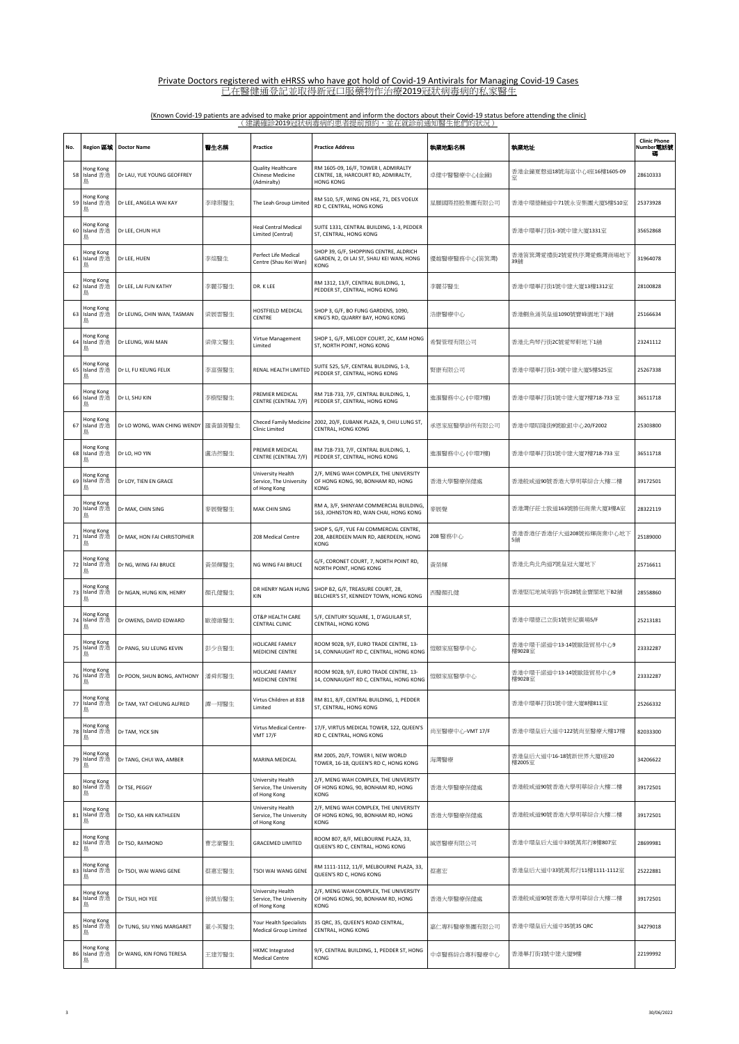| No. | Region 區域                   | <b>Doctor Name</b>          | 醫生名稱   | Practice                                                     | <b>Practice Address</b>                                                                         | 執業地點名稱          | 執業地址                             | <b>Clinic Phone</b><br>Number <b>電話</b> 號 |
|-----|-----------------------------|-----------------------------|--------|--------------------------------------------------------------|-------------------------------------------------------------------------------------------------|-----------------|----------------------------------|-------------------------------------------|
| 58  | Hong Kong<br>Island 香港<br>島 | Dr LAU, YUE YOUNG GEOFFREY  |        | Quality Healthcare<br><b>Chinese Medicine</b><br>(Admiralty) | RM 1605-09, 16/F, TOWER I, ADMIRALTY<br>CENTRE, 18, HARCOURT RD, ADMIRALTY,<br><b>HONG KONG</b> | 卓健中醫醫療中心(金鐘)    | 香港金鐘夏慤道18號海富中心!座16樓1605-09       | 28610333                                  |
| 59  | Hong Kong<br>Island 香港<br>島 | Dr LEE, ANGELA WAI KAY      | 李瑋琪醫生  | The Leah Group Limited                                       | RM 510, 5/F, WING ON HSE, 71, DES VOEUX<br>RD C, CENTRAL, HONG KONG                             | 星願國際控股集團有限公司    | 香港中環德輔道中71號永安集團大廈5樓510室          | 25373928                                  |
| 60  | Hong Kong<br>Island 香港<br>島 | Dr LEE, CHUN HUI            |        | <b>Heal Central Medical</b><br>Limited (Central)             | SUITE 1331, CENTRAL BUILDING, 1-3, PEDDER<br>ST, CENTRAL, HONG KONG                             |                 | 香港中環畢打街1-3號中建大廈1331室             | 35652868                                  |
| 61  | Hong Kong<br>Island 香港<br>島 | Dr LEE, HUEN                | 李煊醫生   | Perfect Life Medical<br>Centre (Shau Kei Wan)                | SHOP 39, G/F, SHOPPING CENTRE, ALDRICH<br>GARDEN, 2, OI LAI ST, SHAU KEI WAN, HONG<br>KONG      | 優越醫療醫務中心(笛箕灣)   | 香港筲箕灣愛禮街2號愛秩序灣愛蝶灣商場地下<br>39鋪     | 31964078                                  |
| 62  | Hong Kong<br>Island 香港<br>島 | Dr LEE, LAI FUN KATHY       | 李麗芬醫生  | DR. K LEE                                                    | RM 1312, 13/F, CENTRAL BUILDING, 1,<br>PEDDER ST, CENTRAL, HONG KONG                            | 李麗芬醫生           | 香港中環畢打街1號中建大廈13樓1312室            | 28100828                                  |
| 63  | Hong Kong<br>Island 香港<br>島 | Dr LEUNG, CHIN WAN, TASMAN  | 梁展雲醫生  | HOSTFIELD MEDICAL<br>CENTRE                                  | SHOP 3, G/F, BO FUNG GARDENS, 1090,<br>KING'S RD, QUARRY BAY, HONG KONG                         | 浩康醫療中心          | 香港鰂魚涌英皇道1090號寶峰園地下3舖             | 25166634                                  |
| 64  | Hong Kong<br>Island 香港<br>島 | Dr LEUNG, WAI MAN           | 梁偉文醫生  | Virtue Management<br>Limited                                 | SHOP 1, G/F, MELODY COURT, 2C, KAM HONG<br>ST, NORTH POINT, HONG KONG                           | 希賢管理有限公司        | 香港北角琴行街2C號愛琴軒地下1舖                | 23241112                                  |
| 65  | Hong Kong<br>Island 香港<br>島 | Dr LI, FU KEUNG FELIX       | 李富强醫生  | RENAL HEALTH LIMITED                                         | SUITE 525, 5/F, CENTRAL BUILDING, 1-3,<br>PEDDER ST, CENTRAL, HONG KONG                         | 腎康有限公司          | 香港中環畢打街1-3號中建大廈5樓525室            | 25267338                                  |
| 66  | Hong Kong<br>Island 香港<br>島 | Dr LI, SHU KIN              | 李樹堅醫生  | PREMIER MEDICAL<br>CENTRE (CENTRAL 7/F)                      | RM 718-733, 7/F, CENTRAL BUILDING, 1,<br>PEDDER ST, CENTRAL, HONG KONG                          | 進滙醫務中心 (中環7樓)   | 香港中環畢打街1號中建大廈7樓718-733室          | 36511718                                  |
| 67  | Hong Kong<br>Island 香港<br>島 | Dr LO WONG, WAN CHING WENDY | 羅黃韻菁醫生 | <b>Checed Family Medicine</b><br><b>Clinic Limited</b>       | 2002, 20/F, EUBANK PLAZA, 9, CHIU LUNG ST,<br>CENTRAL, HONG KONG                                | 承恩家庭醫學診所有限公司    | 香港中環昭隆街9號歐銀中心20/F2002            | 25303800                                  |
| 68  | Hong Kong<br>Island 香港<br>島 | Dr LO, HO YIN               | 盧浩然醫生  | PREMIER MEDICAL<br>CENTRE (CENTRAL 7/F)                      | RM 718-733, 7/F, CENTRAL BUILDING, 1,<br>PEDDER ST, CENTRAL, HONG KONG                          | 進滙醫務中心 (中環7樓)   | 香港中環畢打街1號中建大廈7樓718-733 室         | 36511718                                  |
| 69  | Hong Kong<br>Island 香港<br>島 | Dr LOY, TIEN EN GRACE       |        | University Health<br>Service, The University<br>of Hong Kong | 2/F, MENG WAH COMPLEX, THE UNIVERSITY<br>OF HONG KONG, 90, BONHAM RD, HONG<br>KONG              | 香港大學醫療保健處       | 香港般咸道90號香港大學明華綜合大樓二樓             | 39172501                                  |
| 70  | Hong Kong<br>Island 香港<br>島 | Dr MAK, CHIN SING           | 麥展聲醫生  | <b>MAK CHIN SING</b>                                         | RM A, 3/F, SHINYAM COMMERCIAL BUILDING,<br>163, JOHNSTON RD, WAN CHAI, HONG KONG                | 麥展聲             | 香港灣仔莊士敦道163號勝任商業大廈3樓A室           | 28322119                                  |
| 71  | Hong Kong<br>Island 香港<br>島 | Dr MAK, HON FAI CHRISTOPHER |        | 208 Medical Centre                                           | SHOP 5, G/F, YUE FAI COMMERCIAL CENTRE,<br>208, ABERDEEN MAIN RD, ABERDEEN, HONG<br>KONG        | 208 醫務中心        | 香港香港仔香港仔大道208號裕輝商業中心地下           | 25189000                                  |
| 72  | Hong Kong<br>Island 香港<br>島 | Dr NG, WING FAI BRUCE       | 黃榮輝醫生  | NG WING FAI BRUCE                                            | G/F, CORONET COURT, 7, NORTH POINT RD,<br>NORTH POINT, HONG KONG                                | 黃榮輝             | 香港北角北角道7號皇冠大廈地下                  | 25716611                                  |
| 73  | Hong Kong<br>Island 香港<br>島 | Dr NGAN, HUNG KIN, HENRY    | 顏孔健醫生  | DR HENRY NGAN HUNG<br>KIN                                    | SHOP B2, G/F, TREASURE COURT, 28,<br>BELCHER'S ST, KENNEDY TOWN, HONG KONG                      | 西醫顏孔健           | 香港堅尼地城卑路乍街28號金寶閣地下B2舖            | 28558860                                  |
| 74  | Hong Kong<br>Island 香港<br>島 | Dr OWENS, DAVID EDWARD      | 歐德維醫生  | OT&P HEALTH CARE<br><b>CENTRAL CLINIC</b>                    | 5/F, CENTURY SQUARE, 1, D'AGUILAR ST,<br>CENTRAL, HONG KONG                                     |                 | 香港中環德己立街1號世紀廣場5/F                | 25213181                                  |
| 75  | Hong Kong<br>Island 香港<br>島 | Dr PANG, SIU LEUNG KEVIN    | 彭少良醫生  | HOLICARE FAMILY<br>MEDICINE CENTRE                           | ROOM 902B, 9/F, EURO TRADE CENTRE, 13-<br>14, CONNAUGHT RD C, CENTRAL, HONG KONG                | 愷頤家庭醫學中心        | 香港中環干諾道中13-14號歐陸貿易中心9<br>樓902B室  | 23332287                                  |
| 76  | Hong Kong<br>Island 香港<br>島 | Dr POON, SHUN BONG, ANTHONY | 潘舜邦醫生  | HOLICARE FAMILY<br>MEDICINE CENTRE                           | ROOM 902B, 9/F, EURO TRADE CENTRE, 13-<br>14, CONNAUGHT RD C, CENTRAL, HONG KONG                | 愷頤家庭醫學中心        | 香港中環干諾道中13-14號歐陸貿易中心9<br>樓902B室  | 23332287                                  |
| 77  | Hong Kong<br>Island 香港<br>島 | Dr TAM, YAT CHEUNG ALFRED   | 譚一翔醫生  | Virtus Children at 818<br>Limited                            | RM 811, 8/F, CENTRAL BUILDING, 1, PEDDER<br>ST. CENTRAL. HONG KONG                              |                 | 香港中環畢打街1號中建大廈8樓811室              | 25266332                                  |
| 78  | Hong Kong<br>Island 香港<br>島 | Dr TAM, YICK SIN            |        | Virtus Medical Centre-<br><b>VMT 17/F</b>                    | 17/F. VIRTUS MEDICAL TOWER, 122, QUEEN'S<br>RD C, CENTRAL, HONG KONG                            | 尚至醫療中心-VMT 17/F | 香港中環皇后大道中122號尚至醫療大樓17樓           | 82033300                                  |
| 79  | Hong Kong<br>Island 香港<br>島 | Dr TANG, CHUI WA, AMBER     |        | MARINA MEDICAL                                               | RM 2005, 20/F, TOWER I, NEW WORLD<br>TOWER, 16-18, QUEEN'S RD C, HONG KONG                      | 海灣醫療            | 香港皇后大道中16-18號新世界大廈I座20<br>樓2005室 | 34206622                                  |
| 80  | Hong Kong<br>Island 香港<br>島 | Dr TSE, PEGGY               |        | University Health<br>Service, The University<br>of Hong Kong | 2/F, MENG WAH COMPLEX, THE UNIVERSITY<br>OF HONG KONG, 90, BONHAM RD, HONG<br>KONG              | 香港大學醫療保健處       | 香港般咸道90號香港大學明華綜合大樓二樓             | 39172501                                  |
| 81  | Hong Kong<br>Island 香港<br>島 | Dr TSO, KA HIN KATHLEEN     |        | University Health<br>Service, The University<br>of Hong Kong | 2/F, MENG WAH COMPLEX, THE UNIVERSITY<br>OF HONG KONG, 90, BONHAM RD, HONG<br>KONG              | 香港大學醫療保健處       | 香港般咸道90號香港大學明華綜合大樓二樓             | 39172501                                  |
| 82  | Hong Kong<br>Island 香港<br>島 | Dr TSO, RAYMOND             | 曹忠豪醫生  | <b>GRACEMED LIMITED</b>                                      | ROOM 807, 8/F, MELBOURNE PLAZA, 33,<br>QUEEN'S RD C, CENTRAL, HONG KONG                         | 誠恩醫療有限公司        | 香港中環皇后大道中33號萬邦行8樓807室            | 28699981                                  |
| 83  | Hong Kong<br>Island 香港<br>島 | Dr TSOI, WAI WANG GENE      | 蔡惠宏醫生  | TSOI WAI WANG GENE                                           | RM 1111-1112, 11/F, MELBOURNE PLAZA, 33,<br>QUEEN'S RD C, HONG KONG                             | 蔡惠宏             | 香港皇后大道中33號萬邦行11樓1111-1112室       | 25222881                                  |
| 84  | Hong Kong<br>Island 香港<br>島 | Dr TSUI, HOI YEE            | 徐凱怡醫生  | University Health<br>Service, The University<br>of Hong Kong | 2/F, MENG WAH COMPLEX, THE UNIVERSITY<br>OF HONG KONG, 90, BONHAM RD, HONG<br>KONG              | 香港大學醫療保健處       | 香港般咸道90號香港大學明華綜合大樓二樓             | 39172501                                  |
| 85  | Hong Kong<br>Island 香港<br>島 | Dr TUNG, SIU YING MARGARET  | 董小英醫生  | Your Health Specialists<br><b>Medical Group Limited</b>      | 35 QRC, 35, QUEEN'S ROAD CENTRAL,<br>CENTRAL, HONG KONG                                         | 嘉仁專科醫療集團有限公司    | 香港中環皇后大道中35號35 QRC               | 34279018                                  |
| 86  | Hong Kong<br>Island 香港<br>島 | Dr WANG, KIN FONG TERESA    | 王建芳醫生  | <b>HKMC Integrated</b><br><b>Medical Centre</b>              | 9/F, CENTRAL BUILDING, 1, PEDDER ST, HONG<br>KONG                                               | 中卓醫務綜合專科醫療中心    | 香港畢打街1號中建大廈9樓                    | 22199992                                  |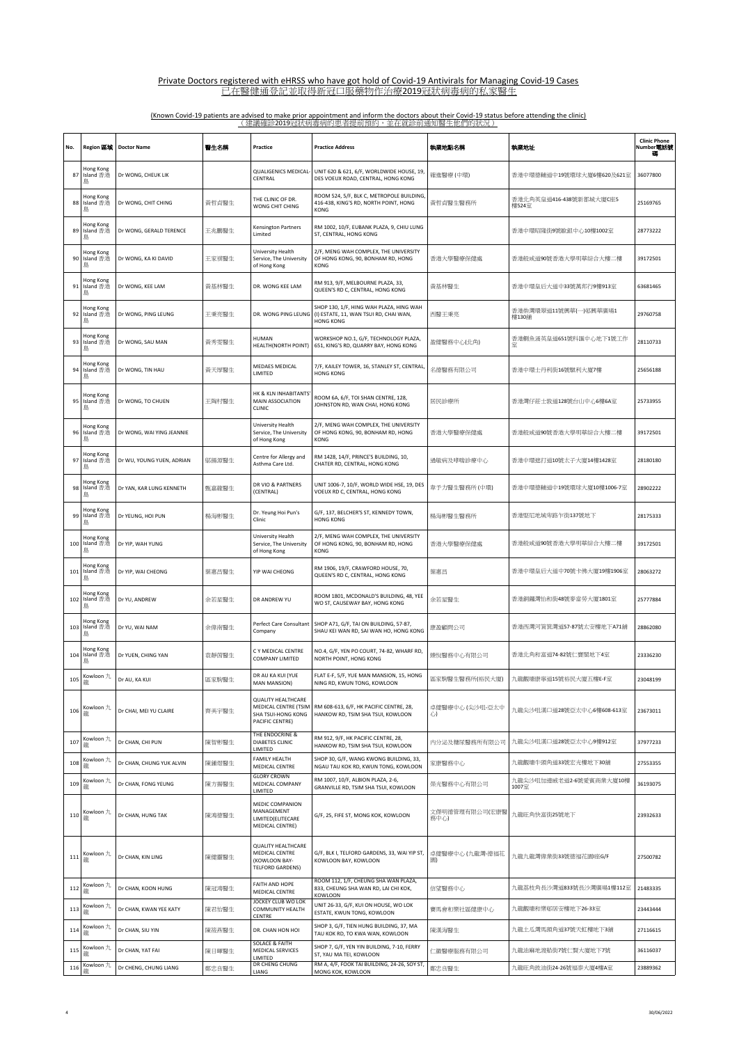| No. | Region 區域                   | <b>Doctor Name</b>        | 醫生名稱  | Practice                                                                                   | <b>Practice Address</b>                                                                        | 執業地點名稱                | 執業地址                             | <b>Clinic Phone</b><br>Number電話號 |
|-----|-----------------------------|---------------------------|-------|--------------------------------------------------------------------------------------------|------------------------------------------------------------------------------------------------|-----------------------|----------------------------------|----------------------------------|
| 87  | Hong Kong<br>Island 香港<br>島 | Dr WONG, CHEUK LIK        |       | <b>QUALIGENICS MEDICAL</b><br>CENTRAL                                                      | UNIT 620 & 621, 6/F, WORLDWIDE HOUSE, 19,<br>DES VOEUX ROAD, CENTRAL, HONG KONG                | 確進醫療 (中環)             | 香港中環德輔道中19號環球大廈6樓620及621室        | 36077800                         |
| 88  | Hong Kong<br>Island 香港<br>島 | Dr WONG, CHIT CHING       | 黃哲貞醫生 | THE CLINIC OF DR.<br>WONG CHIT CHING                                                       | ROOM 524, 5/F, BLK C, METROPOLE BUILDING,<br>416-438, KING'S RD, NORTH POINT, HONG<br>KONG     | 黃哲貞醫生醫務所              | 香港北角英皇道416-438號新都城大廈C座5<br>樓524室 | 25169765                         |
| 89  | Hong Kong<br>Island 香港<br>島 | Dr WONG, GERALD TERENCE   | 王兆鵬醫生 | Kensington Partners<br>Limited                                                             | RM 1002, 10/F, EUBANK PLAZA, 9, CHIU LUNG<br>ST, CENTRAL, HONG KONG                            |                       | 香港中環昭隆街9號歐銀中心10樓1002室            | 28773222                         |
| 90  | Hong Kong<br>Island 香港<br>島 | Dr WONG, KA KI DAVID      | 王家祺醫生 | University Health<br>Service, The University<br>of Hong Kong                               | 2/F. MENG WAH COMPLEX. THE UNIVERSITY<br>OF HONG KONG, 90, BONHAM RD, HONG<br>KONG             | 香港大學醫療保健處             | 香港般咸道90號香港大學明華綜合大樓二樓             | 39172501                         |
| 91  | Hong Kong<br>Island 香港<br>島 | Dr WONG, KEE LAM          | 黃基林醫生 | DR. WONG KEE LAM                                                                           | RM 913, 9/F, MELBOURNE PLAZA, 33,<br>QUEEN'S RD C, CENTRAL, HONG KONG                          | 黃基林醫生                 | 香港中環皇后大道中33號萬邦行9樓913室            | 63681465                         |
| 92  | Hong Kong<br>Island 香港<br>島 | Dr WONG, PING LEUNG       | 王秉亮醫生 | DR. WONG PING LEUNG                                                                        | SHOP 130, 1/F, HING WAH PLAZA, HING WAH<br>(I) ESTATE, 11, WAN TSUI RD, CHAI WAN,<br>HONG KONG | 西醫王秉亮                 | 香港柴灣環翠道11號興華(一)邨興華廣場1<br>樓130舖   | 29760758                         |
| 93  | Hong Kong<br>Island 香港<br>島 | Dr WONG, SAU MAN          | 黃秀雯醫生 | <b>HUMAN</b><br>HEALTH(NORTH POINT)                                                        | WORKSHOP NO.1, G/F, TECHNOLOGY PLAZA,<br>651, KING'S RD, QUARRY BAY, HONG KONG                 | 盈健醫務中心(北角)            | 香港鰂魚涌英皇道651號科匯中心地下1號工作<br>室      | 28110733                         |
| 94  | Hong Kong<br>Island 香港<br>島 | Dr WONG, TIN HAU          | 黃天厚醫生 | MEDAES MEDICAL<br>LIMITED                                                                  | 7/F, KAILEY TOWER, 16, STANLEY ST, CENTRAL<br><b>HONG KONG</b>                                 | 名德醫務有限公司              | 香港中環士丹利街16號騏利大廈7樓                | 25656188                         |
| 95  | Hong Kong<br>Island 香港<br>島 | Dr WONG, TO CHUEN         | 王陶村醫生 | HK & KLN INHABITANTS<br>MAIN ASSOCIATION<br><b>CLINIC</b>                                  | ROOM 6A, 6/F, TOI SHAN CENTRE, 128,<br>JOHNSTON RD, WAN CHAI, HONG KONG                        | 居民診療所                 | 香港灣仔莊士敦道128號台山中心6樓6A室            | 25733955                         |
| 96  | Hong Kong<br>Island 香港<br>鳥 | Dr WONG, WAI YING JEANNIE |       | University Health<br>Service, The University<br>of Hong Kong                               | 2/F, MENG WAH COMPLEX, THE UNIVERSITY<br>OF HONG KONG, 90, BONHAM RD, HONG<br>KONG             | 香港大學醫療保健處             | 香港般咸道90號香港大學明華綜合大樓二樓             | 39172501                         |
| 97  | Hong Kong<br>Island 香港<br>島 | Dr WU, YOUNG YUEN, ADRIAN | 鄔揚源醫生 | Centre for Allergy and<br>Asthma Care Ltd.                                                 | RM 1428, 14/F, PRINCE'S BUILDING, 10,<br>CHATER RD, CENTRAL, HONG KONG                         | 過敏病及哮喘診療中心            | 香港中環遮打道10號太子大廈14樓1428室           | 28180180                         |
| 98  | Hong Kong<br>Island 香港<br>島 | Dr YAN, KAR LUNG KENNETH  | 甄嘉龍醫生 | DR VIO & PARTNERS<br>(CENTRAL)                                                             | UNIT 1006-7, 10/F, WORLD WIDE HSE, 19, DES<br>VOEUX RD C, CENTRAL, HONG KONG                   | 韋予力醫生醫務所 (中環)         | 香港中環德輔道中19號環球大廈10樓1006-7室        | 28902222                         |
| 99  | Hong Kong<br>Island 香港<br>島 | Dr YEUNG, HOI PUN         | 楊海彬醫生 | Dr. Yeung Hoi Pun's<br>Clinic                                                              | G/F, 137, BELCHER'S ST, KENNEDY TOWN,<br><b>HONG KONG</b>                                      | 楊海彬醫生醫務所              | 香港堅尼地城卑路乍街137號地下                 | 28175333                         |
| 100 | Hong Kong<br>Island 香港<br>島 | Dr YIP, WAH YUNG          |       | University Health<br>Service, The University<br>of Hong Kong                               | 2/F, MENG WAH COMPLEX, THE UNIVERSITY<br>OF HONG KONG, 90, BONHAM RD, HONG<br>KONG             | 香港大學醫療保健處             | 香港般咸道90號香港大學明華綜合大樓二樓             | 39172501                         |
| 101 | Hong Kong<br>Island 香港<br>島 | Dr YIP, WAI CHEONG        | 葉惠昌醫生 | YIP WAI CHEONG                                                                             | RM 1906, 19/F, CRAWFORD HOUSE, 70,<br>QUEEN'S RD C, CENTRAL, HONG KONG                         | 葉惠昌                   | 香港中環皇后大道中70號卡佛大廈19樓1906室         | 28063272                         |
| 102 | Hong Kong<br>Island 香港<br>島 | Dr YU, ANDREW             | 余若星醫生 | DR ANDREW YU                                                                               | ROOM 1801, MCDONALD'S BUILDING, 48, YEE<br>WO ST, CAUSEWAY BAY, HONG KONG                      | 余若星醫生                 | 香港銅鑼灣怡和街48號麥當勞大廈1801室            | 25777884                         |
| 103 | Hong Kong<br>Island 香港<br>島 | Dr YU, WAI NAM            | 余偉南醫生 | Perfect Care Consultant<br>Company                                                         | SHOP A71, G/F, TAI ON BUILDING, 57-87,<br>SHAU KEI WAN RD, SAI WAN HO, HONG KONG               | 康盈顧問公司                | 香港西灣河筲箕灣道57-87號太安樓地下A71舖         | 28862080                         |
| 104 | Hong Kong<br>Island 香港<br>島 | Dr YUEN, CHING YAN        | 袁靜茵醫生 | C Y MEDICAL CENTRE<br><b>COMPANY LIMITED</b>                                               | NO.4, G/F, YEN PO COURT, 74-82, WHARF RD,<br>NORTH POINT, HONG KONG                            | 臻悅醫務中心有限公司            | 香港北角和富道74-82號仁寶閣地下4室             | 23336230                         |
| 105 | Kowloon 九                   | Dr AU, KA KUI             | 區家駒醫生 | DR AU KA KUI (YUE<br>MAN MANSION)                                                          | FLAT E-F, 5/F, YUE MAN MANSION, 15, HONG<br>NING RD, KWUN TONG, KOWLOON                        | 區家駒醫生醫務所(裕民大廈)        | 九龍觀塘康寧道15號裕民大廈五樓E-F室             | 23048199                         |
| 106 | Kowloon 九<br>龍              | Dr CHAI, MEI YU CLAIRE    | 齊美宇醫生 | <b>QUALITY HEALTHCARE</b><br>MEDICAL CENTRE (TSIM<br>SHA TSUI-HONG KONG<br>PACIFIC CENTRE) | RM 608-613, 6/F, HK PACIFIC CENTRE, 28,<br>HANKOW RD, TSIM SHA TSUI, KOWLOON                   | 卓健醫療中心 (尖沙咀-亞太中<br>心  | 九龍尖沙咀漢口道28號亞太中心6樓608-613室        | 23673011                         |
| 107 | Kowloon 九<br>龍              | Dr CHAN, CHI PUN          | 陳智彬醫生 | THE ENDOCRINE &<br><b>DIABETES CLINIC</b><br>LIMITED                                       | RM 912, 9/F, HK PACIFIC CENTRE, 28,<br>HANKOW RD, TSIM SHA TSUI, KOWLOON                       | 内分泌及糖尿醫務所有限公司         | 九龍尖沙咀漢口道28號亞太中心9樓912室            | 37977233                         |
| 108 | Kowloon 九<br>龍              | Dr CHAN, CHUNG YUK ALVIN  | 陳鍾煜醫生 | <b>FAMILY HEALTH</b><br>MEDICAL CENTRE                                                     | SHOP 30, G/F, WANG KWONG BUILDING, 33,<br>NGAU TAU KOK RD, KWUN TONG, KOWLOON                  | 家康醫務中心                | 九龍觀塘牛頭角道33號宏光樓地下30舖              | 27553355                         |
| 109 | Kowloon 九<br>瀧              | Dr CHAN, FONG YEUNG       | 陳方揚醫生 | <b>GLORY CROWN</b><br>MEDICAL COMPANY<br>LIMITED                                           | RM 1007, 10/F, ALBION PLAZA, 2-6,<br>GRANVILLE RD, TSIM SHA TSUI, KOWLOON                      | 榮光醫務中心有限公司            | 九龍尖沙咀加連威老道2-6號愛賓商業大廈10樓<br>1007室 | 36193075                         |
| 110 | Kowloon 九<br>龍              | Dr CHAN, HUNG TAK         | 陳鴻德醫生 | MEDIC COMPANION<br>MANAGEMENT<br>LIMITED(ELITECARE<br>MEDICAL CENTRE)                      | G/F, 25, FIFE ST, MONG KOK, KOWLOON                                                            | 文傑明德管理有限公司(宏康醫<br>務中心 | 九龍旺角快富街25號地下                     | 23932633                         |
| 111 | Kowloon 九<br>龍              | Dr CHAN, KIN LING         | 陳健靈醫生 | <b>QUALITY HEALTHCARE</b><br>MEDICAL CENTRE<br>(KOWLOON BAY-<br><b>TELFORD GARDENS)</b>    | G/F, BLK I, TELFORD GARDENS, 33, WAI YIP ST,<br>KOWLOON BAY, KOWLOON                           | 卓健醫療中心(九龍灣-德福花<br>園   | 九龍九龍灣偉業街33號德福花園I座G/F             | 27500782                         |
| 112 | Kowloon 九<br>瀧              | Dr CHAN, KOON HUNG        | 陳冠鴻醫生 | FAITH AND HOPE<br>MEDICAL CENTRE                                                           | ROOM 112, 1/F, CHEUNG SHA WAN PLAZA,<br>833, CHEUNG SHA WAN RD, LAI CHI KOK,<br><b>KOWLOON</b> | 信望醫務中心                | 九龍荔枝角長沙灣道833號長沙灣廣場1樓112室         | 21483335                         |
| 113 | Kowloon 九<br>龍              | Dr CHAN, KWAN YEE KATY    | 陳君怡醫生 | JOCKEY CLUB WO LOK<br>COMMUNITY HEALTH<br>CENTRE                                           | UNIT 26-33, G/F, KUI ON HOUSE, WO LOK<br>ESTATE, KWUN TONG, KOWLOON                            | 賽馬會和樂社區健康中心           | 九龍觀塘和樂邨居安樓地下26-33室               | 23443444                         |
| 114 | Kowloon 九<br>龍              | Dr CHAN, SIU YIN          | 陳筱燕醫生 | DR. CHAN HON HOI                                                                           | SHOP 3, G/F, TIEN HUNG BUILDING, 37, MA<br>TAU KOK RD, TO KWA WAN, KOWLOON                     | 陳漢海醫生                 | 九龍土瓜灣馬頭角道37號天虹樓地下3舖              | 27116615                         |
| 115 | Kowloon 九<br>瀧              | Dr CHAN, YAT FAI          | 陳日暉醫生 | <b>SOLACE &amp; FAITH</b><br>MEDICAL SERVICES<br>LIMITED                                   | SHOP 7, G/F, YEN YIN BUILDING, 7-10, FERRY<br>ST, YAU MA TEI, KOWLOON                          | 仁徽醫療服務有限公司            | 九龍油麻地渡船街7號仁賢大廈地下7號               | 36116037                         |
| 116 | Kowloon 九                   | Dr CHENG, CHUNG LIANG     | 鄭忠良醫生 | DR CHENG CHUNG<br>LIANG                                                                    | RM A, 4/F, FOOK TAI BUILDING, 24-26, SOY ST,<br>MONG KOK, KOWLOON                              | 鄭忠良醫生                 | 九龍旺角豉油街24-26號福泰大廈4樓A室            | 23889362                         |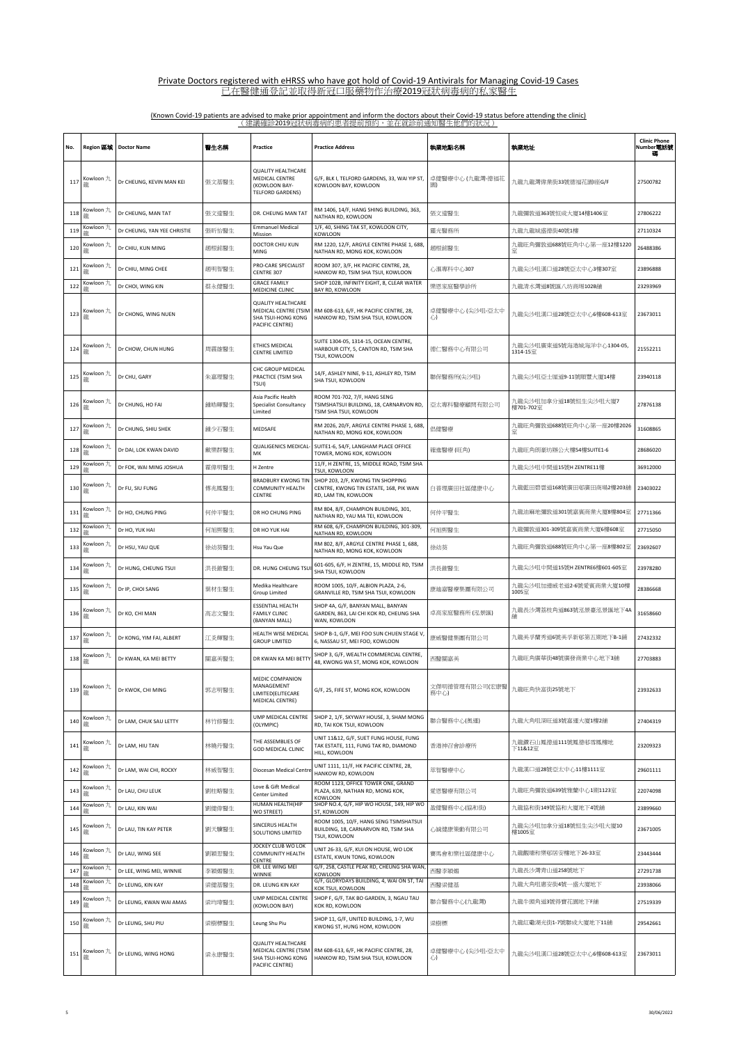| No. | Region 區域           | <b>Doctor Name</b>          | 警生名稱  | Practice                                                                                                      | <b>Practice Address</b>                                                                             | 執業地點名稱                | 執業地址                                  | <b>Clinic Phone</b><br>Number電話號 |
|-----|---------------------|-----------------------------|-------|---------------------------------------------------------------------------------------------------------------|-----------------------------------------------------------------------------------------------------|-----------------------|---------------------------------------|----------------------------------|
| 117 | Kowloon 九<br>龍      | Dr CHEUNG, KEVIN MAN KEI    | 張文基醫生 | <b>OUALITY HEALTHCARE</b><br>MEDICAL CENTRE<br>(KOWLOON BAY-<br><b>TELFORD GARDENS)</b>                       | G/F, BLK I, TELFORD GARDENS, 33, WAI YIP ST,<br>KOWLOON BAY, KOWLOON                                | 卓健醫療中心 (九龍灣-德福花<br>園) | 九龍九龍灣偉業街33號德福花園I座G/F                  | 27500782                         |
| 118 | Kowloon 九<br>瀧      | Dr CHEUNG, MAN TAT          | 張文達醫生 | DR. CHEUNG MAN TAT                                                                                            | RM 1406, 14/F, HANG SHING BUILDING, 363,<br>NATHAN RD, KOWLOON                                      | 張文達醫生                 | 九龍彌敦道363號恒成大廈14樓1406室                 | 27806222                         |
| 119 | Kowloon 九           | Dr CHEUNG, YAN YEE CHRISTIE | 張昕怡醫生 | <b>Emmanuel Medical</b><br>Mission                                                                            | 1/F, 40, SHING TAK ST, KOWLOON CITY,<br>KOWLOON                                                     | 靈光醫務所                 | 九龍九龍城盛德街40號1樓                         | 27110324                         |
| 120 | Kowloon 九<br>瀧      | Dr CHIU, KUN MING           | 趙根銘醫生 | DOCTOR CHIU KUN<br>MING                                                                                       | RM 1220, 12/F, ARGYLE CENTRE PHASE 1, 688,<br>NATHAN RD, MONG KOK, KOWLOON                          | 趙根銘醫生                 | 九龍旺角彌敦道688號旺角中心第一座12樓1220<br>冪        | 26488386                         |
| 121 | Kowloon 九           | Dr CHIU, MING CHEE          | 趙明智醫生 | PRO-CARE SPECIALIST                                                                                           | ROOM 307, 3/F, HK PACIFIC CENTRE, 28,                                                               | 心滙專科中心307             | 九龍尖沙咀漢口道28號亞太中心3樓307室                 | 23896888                         |
| 122 | 龍<br>Kowloon 九      | Dr CHOI, WING KIN           | 蔡永健醫生 | CENTRE 307<br><b>GRACE FAMILY</b>                                                                             | HANKOW RD, TSIM SHA TSUI, KOWLOON<br>SHOP 102B, INFINITY EIGHT, 8, CLEAR WATER                      | 樂恩家庭醫學診所              | 九龍清水灣道8號匯八坊商場102B鋪                    | 23293969                         |
| 123 | Kowloon 九<br>龍      | Dr CHONG, WING NUEN         |       | MEDICINE CLINIC<br><b>QUALITY HEALTHCARE</b><br>MEDICAL CENTRE (TSIM<br>SHA TSUI-HONG KONG<br>PACIFIC CENTRE) | BAY RD, KOWLOON<br>RM 608-613, 6/F, HK PACIFIC CENTRE, 28,<br>HANKOW RD, TSIM SHA TSUI, KOWLOON     | 卓健醫療中心(尖沙咀-亞太中<br>心   | 九龍尖沙咀漢口道28號亞太中心6樓608-613室             | 23673011                         |
| 124 | Kowloon 九<br>瀧      | Dr CHOW, CHUN HUNG          | 周震雄醫生 | ETHICS MEDICAL<br>CENTRE LIMITED                                                                              | SUITE 1304-05, 1314-15, OCEAN CENTRE,<br>HARBOUR CITY, 5, CANTON RD, TSIM SHA<br>TSUI, KOWLOON      | 德仁醫務中心有限公司            | 九龍尖沙咀廣東道5號海港城海洋中心1304-05,<br>1314-15室 | 21552211                         |
| 125 | Kowloon 九<br>龍      | Dr CHU, GARY                | 朱嘉理醫生 | CHC GROUP MEDICAL<br>PRACTICE (TSIM SHA<br>TSUI)                                                              | 14/F, ASHLEY NINE, 9-11, ASHLEY RD, TSIM<br>SHA TSUI, KOWLOON                                       | 聯保醫務所(尖沙咀)            | 九龍尖沙咀亞士厘道9-11號順豐大廈14樓                 | 23940118                         |
| 126 | Kowloon 九<br>瀧      | Dr CHUNG, HO FAI            | 鍾皓暉醫生 | Asia Pacific Health<br><b>Specialist Consultancy</b><br>Limited                                               | ROOM 701-702, 7/F, HANG SENG<br>TSIMSHATSUI BUILDING, 18, CARNARVON RD,<br>TSIM SHA TSUI, KOWLOON   | 亞太專科醫療顧問有限公司          | 九龍尖沙咀加拿分道18號恒生尖沙咀大廈7<br>樓701-702室     | 27876138                         |
| 127 | Kowloon 九<br>龍      | Dr CHUNG, SHIU SHEK         | 鍾少石醫生 | MEDSAFE                                                                                                       | RM 2026, 20/F, ARGYLE CENTRE PHASE 1, 688,<br>NATHAN RD, MONG KOK, KOWLOON                          | 倡健醫療                  | 九龍旺角彌敦道688號旺角中心第一座20樓2026             | 31608865                         |
| 128 | Kowloon 九<br>酯      | Dr DAI, LOK KWAN DAVID      | 戴樂群醫生 | QUALIGENICS MEDICAL-<br>MK                                                                                    | SUITE1-6, 54/F, LANGHAM PLACE OFFICE<br>TOWER, MONG KOK, KOWLOON                                    | 確進醫療 (旺角)             | 九龍旺角朗豪坊辦公大樓54樓SUITE1-6                | 28686020                         |
| 129 | Kowloon 九           | Dr FOK, WAI MING JOSHUA     | 霍偉明醫生 | H Zentre                                                                                                      | 11/F, H ZENTRE, 15, MIDDLE ROAD, TSIM SHA<br>TSUI, KOWLOON                                          |                       | 九龍尖沙咀中間道15號H ZENTRE11樓                | 36912000                         |
| 130 | Kowloon 九<br>龍      | Dr FU, SIU FUNG             | 傅兆鳳醫生 | <b>BRADBURY KWONG TIN</b><br>COMMUNITY HEALTH<br>CENTRE                                                       | SHOP 203, 2/F, KWONG TIN SHOPPING<br>CENTRE, KWONG TIN ESTATE, 168, PIK WAN<br>RD, LAM TIN, KOWLOON | 白普理廣田社區健康中心           | 九龍藍田碧雲道168號廣田邨廣田商場2樓203舖              | 23403022                         |
| 131 | Kowloon 九<br>瀧      | Dr HO, CHUNG PING           | 何仲平醫生 | DR HO CHUNG PING                                                                                              | RM 804, 8/F, CHAMPION BUILDING, 301,<br>NATHAN RD, YAU MA TEI, KOWLOON                              | 何仲平醫生                 | 九龍油麻地彌敦道301號嘉賓商業大廈8樓804室              | 27711366                         |
| 132 | Kowloon 九<br>罷      | Dr HO, YUK HAI              | 何旭熙醫生 | DR HO YUK HAI                                                                                                 | RM 608, 6/F, CHAMPION BUILDING, 301-309,<br>NATHAN RD, KOWLOON                                      | 何旭熙醫生                 | 九龍彌敦道301-309號嘉賓商業大廈6樓608室             | 27715050                         |
| 133 | Kowloon 九<br>龍      | Dr HSU, YAU QUE             | 徐幼葵醫生 | Hsu Yau Que                                                                                                   | RM 802, 8/F, ARGYLE CENTRE PHASE 1, 688,<br>NATHAN RD, MONG KOK, KOWLOON                            | 徐幼葵                   | 九龍旺角彌敦道688號旺角中心第一座8樓802室              | 23692607                         |
| 134 | Kowloon 九<br>瀧      | Dr HUNG, CHEUNG TSUI        | 洪長錐醫生 | DR. HUNG CHEUNG TSU                                                                                           | 601-605, 6/F, H ZENTRE, 15, MIDDLE RD, TSIM<br>SHA TSUI, KOWLOON                                    | 洪長錐醫生                 | 九龍尖沙咀中間道15號H ZENTRE6樓601-605室         | 23978280                         |
| 135 | Kowloon 九<br>龍      | Dr IP, CHOI SANG            | 葉材生醫生 | Medika Healthcare<br>Group Limited                                                                            | ROOM 1005, 10/F, ALBION PLAZA, 2-6,<br>GRANVILLE RD, TSIM SHA TSUI, KOWLOON                         | 康廸嘉醫療集團有限公司           | 九龍尖沙咀加連威老道2-6號愛賓商業大廈10樓<br>1005室      | 28386668                         |
| 136 | Kowloon 九<br>龍      | Dr KO, CHI MAN              | 高志文醫生 | <b>ESSENTIAL HEALTH</b><br><b>FAMILY CLINIC</b><br>(BANYAN MALL)                                              | SHOP 4A, G/F, BANYAN MALL, BANYAN<br>GARDEN, 863, LAI CHI KOK RD, CHEUNG SHA<br>WAN, KOWLOON        | 卓高家庭醫務所 (泓景匯)         | 九龍長沙灣荔枝角道863號泓景臺泓景匯地下4A<br>舖          | 31658660                         |
| 137 | Kowloon 九<br>瀧      | Dr KONG, YIM FAI, ALBERT    | 江炎輝醫生 | HEALTH WISE MEDICAL<br><b>GROUP LIMITED</b>                                                                   | SHOP B-1, G/F, MEI FOO SUN CHUEN STAGE V,<br>6, NASSAU ST, MEI FOO, KOWLOON                         | 康威醫健集團有限公司            | 九龍美孚蘭秀道6號美孚新邨第五期地下B-1鋪                | 27432332                         |
| 138 | Kowloon 九           | Dr KWAN, KA MEI BETTY       | 關嘉美醫生 | DR KWAN KA MEI BETT'                                                                                          | SHOP 3, G/F, WEALTH COMMERCIAL CENTRE,<br>48, KWONG WA ST, MONG KOK, KOWLOON                        | 西醫關嘉美                 | 九龍旺角廣華街48號廣發商業中心地下3舖                  | 27703883                         |
| 139 | Kowloon 九<br>龍      | Dr KWOK, CHI MING           | 郭志明醫生 | MEDIC COMPANION<br>MANAGEMENT<br>LIMITED(ELITECARE<br>MEDICAL CENTRE)                                         | G/F, 25, FIFE ST, MONG KOK, KOWLOON                                                                 | 栗明德管埋有限公司(宏康醫<br>務中心) | 九龍旺角快富街25號地下                          | 23932633                         |
| 140 | Kowloon 九<br>瀧      | Dr LAM, CHUK SAU LETTY      | 林竹修醫生 | UMP MEDICAL CENTRE<br>(OLYMPIC)                                                                               | SHOP 2, 1/F, SKYWAY HOUSE, 3, SHAM MONG<br>RD, TAI KOK TSUI, KOWLOON                                | 聯合醫務中心(與運)            | 九龍大角咀深旺道3號嘉運大廈1樓2舖                    | 27404319                         |
| 141 | Kowloon 九<br>龍      | Dr LAM, HIU TAN             | 林曉丹醫生 | THE ASSEMBLIES OF<br>GOD MEDICAL CLINIC                                                                       | UNIT 11&12, G/F, SUET FUNG HOUSE, FUNG<br>TAK ESTATE, 111, FUNG TAK RD, DIAMOND<br>HILL, KOWLOON    | 香港神召會診療所              | 九龍鑽石山鳳德道111號鳳德邨雪鳳樓地<br>下11&12室        | 23209323                         |
| 142 | Kowloon 九<br>瀧      | Dr LAM, WAI CHI, ROCKY      | 林威智醫生 | Diocesan Medical Centre                                                                                       | UNIT 1111, 11/F, HK PACIFIC CENTRE, 28,<br>HANKOW RD, KOWLOON                                       | 萃智醫療中心                | 九龍漢口道28號亞太中心11樓1111室                  | 29601111                         |
| 143 | Kowloon 九<br>龍      | Dr LAU, CHU LEUK            | 劉柱略醫生 | Love & Gift Medical<br>Center Limited                                                                         | ROOM 1123, OFFICE TOWER ONE, GRAND<br>PLAZA, 639, NATHAN RD, MONG KOK,<br><b>KOWLOON</b>            | 愛恩醫療有限公司              | 九龍旺角彌敦道639號雅蘭中心1期1123室                | 22074098                         |
| 144 | Kowloon $\eta$<br>꼶 | Dr LAU, KIN WAI             | 劉健偉醫生 | HUMAN HEALTH(HIP<br>WO STREET)                                                                                | SHOP NO.4, G/F, HIP WO HOUSE, 149, HIP WO<br>ST, KOWLOON                                            | 盈健醫務中心(協和街)           | 九龍協和街149號協和大廈地下4號舖                    | 23899660                         |
| 145 | Kowloon 九<br>龍      | Dr LAU, TIN KAY PETER       | 劉天驥醫生 | SINCERUS HEALTH<br>SOLUTIONS LIMITED                                                                          | ROOM 1005, 10/F, HANG SENG TSIMSHATSUI<br>BUILDING, 18, CARNARVON RD, TSIM SHA<br>TSUI, KOWLOON     | 心誠健康策動有限公司            | 九龍尖沙咀加拿分道18號恒生尖沙咀大廈10<br>樓1005室       | 23671005                         |
| 146 | Kowloon 九<br>瀧      | Dr LAU, WING SEE            | 劉穎思醫生 | JOCKEY CLUB WO LOK<br>COMMUNITY HEALTH<br>CENTRE                                                              | UNIT 26-33, G/F, KUI ON HOUSE, WO LOK<br>ESTATE, KWUN TONG, KOWLOON                                 | 賽馬會和樂社區健康中心           | 九龍觀塘和樂邨居安樓地下26-33室                    | 23443444                         |
| 147 | Kowloon 九           | Dr LEE, WING MEI, WINNIE    | 李穎媚醫生 | DR. LEE WING MEI<br>WINNIE                                                                                    | G/F, 258, CASTLE PEAK RD, CHEUNG SHA WAN<br>KOWLOON                                                 | 西醫李穎媚                 | 九龍長沙灣青山道258號地下                        | 27291738                         |
| 148 | Kowloon 九<br>龗      | Dr LEUNG, KIN KAY           | 梁健基醫生 | DR. LEUNG KIN KAY                                                                                             | G/F, GLORYDAYS BUILDING, 4, WAI ON ST, TAI<br>KOK TSUI, KOWLOON                                     | 西醫梁健基                 | 九龍大角咀惠安街4號一盛大廈地下                      | 23938066                         |
| 149 | Kowloon 九<br>龍      | Dr LEUNG, KWAN WAI AMAS     | 梁均瑋醫生 | UMP MEDICAL CENTRE<br>(KOWLOON BAY)                                                                           | SHOP F, G/F, TAK BO GARDEN, 3, NGAU TAU<br>KOK RD, KOWLOON                                          | 聯合醫務中心(九龍灣)           | 九龍牛頭角道3號得寶花園地下F舗                      | 27519339                         |
| 150 | Kowloon 九<br>龍      | Dr LEUNG, SHU PIU           | 梁樹標醫生 | Leung Shu Piu                                                                                                 | SHOP 11, G/F, UNITED BUILDING, 1-7, WU<br>KWONG ST, HUNG HOM, KOWLOON                               | 梁樹標                   | 九龍紅磡湖光街1-7號聯成大廈地下11舖                  | 29542661                         |
| 151 | Kowloon 九<br>龍      | Dr LEUNG, WING HONG         | 梁永康醫生 | <b>QUALITY HEALTHCARE</b><br>MEDICAL CENTRE (TSIM<br>SHA TSUI-HONG KONG<br>PACIFIC CENTRE)                    | RM 608-613, 6/F, HK PACIFIC CENTRE, 28,<br>HANKOW RD, TSIM SHA TSUI, KOWLOON                        | 卓健醫療中心 (尖沙咀-亞太中<br>心  | 九龍尖沙咀漢口道28號亞太中心6樓608-613室             | 23673011                         |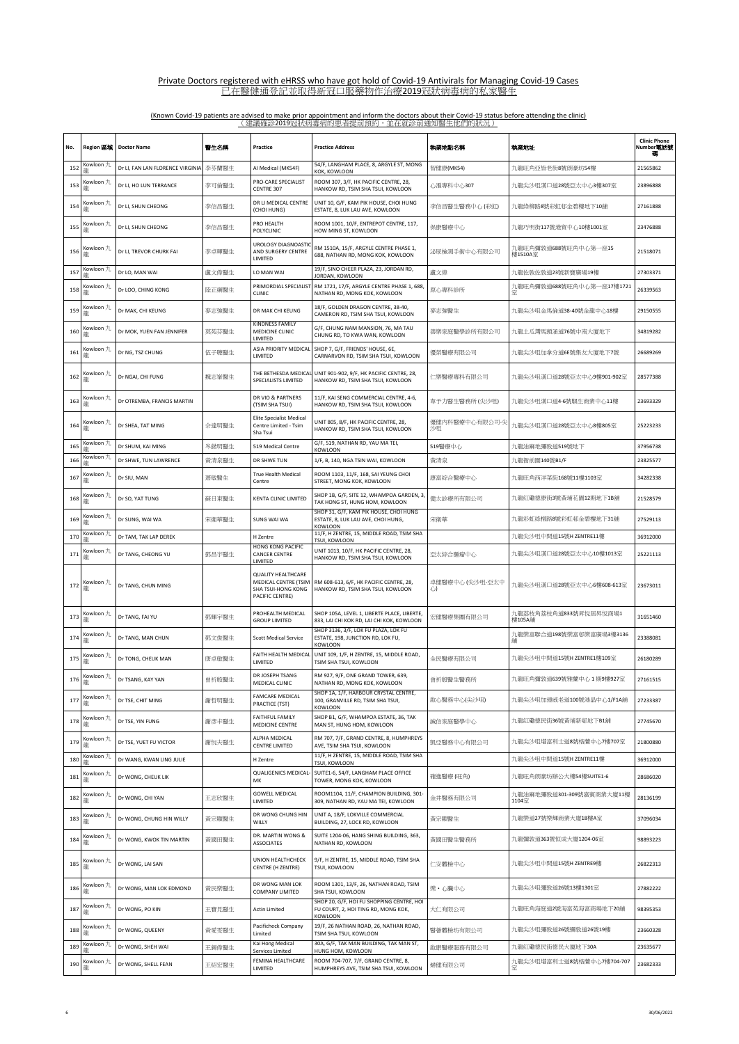| No. | Region 區域       | <b>Doctor Name</b>               | 醫生名稱  | Practice                                                                                   | <b>Practice Address</b>                                                                     | 執業地點名稱               | 執業地址                               | <b>Clinic Phone</b><br>Number電話號<br>碼 |
|-----|-----------------|----------------------------------|-------|--------------------------------------------------------------------------------------------|---------------------------------------------------------------------------------------------|----------------------|------------------------------------|---------------------------------------|
| 152 | Kowloon 九       | Dr LI, FAN LAN FLORENCE VIRGINIA | 李芬蘭醫生 | Al Medical (MK54F)                                                                         | 54/F, LANGHAM PLACE, 8, ARGYLE ST, MONG<br>KOK, KOWLOON                                     | 智健康(MK54)            | 九龍旺角亞皆老街8號朗豪坊54樓                   | 21565862                              |
| 153 | Kowloon 九<br>龍  | Dr LI, HO LUN TERRANCE           | 李可倫醫生 | PRO-CARE SPECIALIST<br>CENTRE 307                                                          | ROOM 307, 3/F, HK PACIFIC CENTRE, 28,<br>HANKOW RD, TSIM SHA TSUI, KOWLOON                  | 心滙專科中心307            | 九龍尖沙咀漢口道28號亞太中心3樓307室              | 23896888                              |
| 154 | Kowloon 九<br>瀧  | Dr LI, SHUN CHEONG               | 李信昌醫生 | DR LI MEDICAL CENTRE<br>(CHOI HUNG)                                                        | UNIT 10, G/F, KAM PIK HOUSE, CHOI HUNG<br>ESTATE, 8, LUK LAU AVE, KOWLOON                   | 李信昌醫生醫務中心 (彩虹)       | 九龍綠柳路8號彩虹邨金碧樓地下10舖                 | 27161888                              |
| 155 | Kowloon 九<br>瀧  | Dr LI, SHUN CHEONG               | 李信昌醫生 | PRO HEALTH<br>POLYCLINIC                                                                   | ROOM 1001, 10/F, ENTREPOT CENTRE, 117,<br>HOW MING ST, KOWLOON                              | 保康醫療中心               | 九龍巧明街117號港貿中心10樓1001室              | 23476888                              |
| 156 | Kowloon 九<br>瀧  | Dr LI, TREVOR CHURK FAI          | 李卓暉醫生 | UROLOGY DIAGNOASTIC<br>AND SURGERY CENTRE<br>LIMITED                                       | RM 1510A, 15/F, ARGYLE CENTRE PHASE 1,<br>688, NATHAN RD, MONG KOK, KOWLOON                 | 泌尿檢測手術中心有限公司         | 九龍旺角彌敦道688號旺角中心第一座15<br>樓1510A室    | 21518071                              |
| 157 | Kowloon 九       | Dr LO, MAN WAI                   | 盧文偉醫生 | LO MAN WAI                                                                                 | 19/F, SINO CHEER PLAZA, 23, JORDAN RD,<br>JORDAN, KOWLOON                                   | 盧文偉                  | 九龍佐敦佐敦道23號新寶廣場19樓                  | 27303371                              |
| 158 | Kowloon 九<br>龍  | Dr LOO, CHING KONG               | 陸正綱醫生 | PRIMORDIAL SPECIALIST<br><b>CLINIC</b>                                                     | RM 1721, 17/F, ARGYLE CENTRE PHASE 1, 688,<br>NATHAN RD, MONG KOK, KOWLOON                  | 原心專科診所               | 九龍旺角彌敦道688號旺角中心第一座17樓1721<br>室     | 26339563                              |
| 159 | Kowloon 九<br>龍  | Dr MAK, CHI KEUNG                | 麥志強醫生 | DR MAK CHI KEUNG                                                                           | 18/F, GOLDEN DRAGON CENTRE, 38-40,<br>CAMERON RD, TSIM SHA TSUI, KOWLOON                    | 麥志強醫生                | 九龍尖沙咀金馬倫道38-40號金龍中心18樓             | 29150555                              |
| 160 | Kowloon 九<br>瀧  | Dr MOK, YUEN FAN JENNIFER        | 莫苑芬醫生 | KINDNESS FAMILY<br>MEDICINE CLINIC<br>LIMITED                                              | G/F, CHUNG NAM MANSION, 76, MA TAU<br>CHUNG RD, TO KWA WAN, KOWLOON                         | 善樂家庭醫學診所有限公司         | 九龍土瓜灣馬頭涌道76號中南大廈地下                 | 34819282                              |
| 161 | Kowloon 九<br>NE | Dr NG, TSZ CHUNG                 | 伍子聰醫生 | ASIA PRIORITY MEDICAL<br>LIMITED                                                           | SHOP 7, G/F, FRIENDS' HOUSE, 6E,<br>CARNARVON RD, TSIM SHA TSUI, KOWLOON                    | 優榮醫療有限公司             | 九龍尖沙咀加拿分道6E號集友大廈地下7號               | 26689269                              |
| 162 | Kowloon 九<br>龍  | Dr NGAI, CHI FUNG                | 魏志峯醫生 | THE BETHESDA MEDICAL<br>SPECIALISTS LIMITED                                                | UNIT 901-902, 9/F, HK PACIFIC CENTRE, 28,<br>HANKOW RD, TSIM SHA TSUI, KOWLOON              | 仁樂醫療專科有限公司           | 九龍尖沙咀漢口道28號亞太中心9樓901-902室          | 28577388                              |
| 163 | Kowloon 九<br>龍  | Dr OTREMBA, FRANCIS MARTIN       |       | DR VIO & PARTNERS<br>(TSIM SHA TSUI)                                                       | 11/F, KAI SENG COMMERCIAL CENTRE, 4-6,<br>HANKOW RD, TSIM SHA TSUI, KOWLOON                 | 韋予力醫生醫務所 (尖沙咀)       | 九龍尖沙咀漢口道4-6號騏生商業中心11樓              | 23693329                              |
| 164 | Kowloon 九<br>瀧  | Dr SHEA, TAT MING                | 佘達明醫生 | <b>Elite Specialist Medical</b><br>Centre Limited - Tsim<br>Sha Tsui                       | UNIT 805, 8/F, HK PACIFIC CENTRE, 28,<br>HANKOW RD, TSIM SHA TSUI, KOWLOON                  | 優健內科醫療中心有限公司-尖<br>沙咀 | 九龍尖沙咀漢口道28號亞太中心8樓805室              | 25223233                              |
| 165 | Kowloon 九       | Dr SHUM, KAI MING                | 岑鍇明醫生 | 519 Medical Centre                                                                         | G/F, 519, NATHAN RD, YAU MA TEI,<br><b>KOWLOON</b>                                          | 519醫療中心              | 九龍油麻地彌敦道519號地下                     | 37956738                              |
| 166 | Kowloon 九       | Dr SHWE, TUN LAWRENCE            | 黃清泉醫生 | DR SHWE TUN                                                                                | 1/F, B, 140, NGA TSIN WAI, KOWLOON                                                          | 黃清泉                  | 九龍衙前圍140號B1/F                      | 23825577                              |
| 167 | Kowloon 九<br>龍  | Dr SIU, MAN                      | 萧敏醫生  | <b>True Health Medical</b><br>Centre                                                       | ROOM 1103, 11/F, 168, SAI YEUNG CHOI<br>STREET, MONG KOK, KOWLOON                           | 康富綜合醫療中心             | 九龍旺角西洋菜街168號11樓1103室               | 34282338                              |
| 168 | Kowloon 九<br>龍  | Dr SO, YAT TUNG                  | 蘇日東醫生 | KENTA CLINIC LIMITED                                                                       | SHOP 1B, G/F, SITE 12, WHAMPOA GARDEN, 3,<br>TAK HONG ST, HUNG HOM, KOWLOON                 | 健太診療所有限公司            | 九龍紅磡德康街3號黃埔花園12期地下1B舖              | 21528579                              |
| 169 | Kowloon 九<br>酯  | Dr SUNG, WAI WA                  | 宋衛華醫生 | SUNG WAI WA                                                                                | SHOP 31, G/F, KAM PIK HOUSE, CHOI HUNG<br>ESTATE, 8, LUK LAU AVE, CHOI HUNG,<br>KOWLOON     | 宋衛華                  | 九龍彩虹綠柳路8號彩虹邨金碧樓地下31舖               | 27529113                              |
| 170 | Kowloon 九       | Dr TAM, TAK LAP DEREK            |       | H Zentre                                                                                   | 11/F, H ZENTRE, 15, MIDDLE ROAD, TSIM SHA<br>TSUI, KOWLOON                                  |                      | 九龍尖沙咀中間道15號H ZENTRE11樓             | 36912000                              |
| 171 | Kowloon 九<br>龍  | Dr TANG, CHEONG YU               | 鄧昌宇醫生 | HONG KONG PACIFIC<br>CANCER CENTRE<br>LIMITED                                              | UNIT 1013, 10/F, HK PACIFIC CENTRE, 28,<br>HANKOW RD, TSIM SHA TSUI, KOWLOON                | 亞太綜合腫瘤中心             | 九龍尖沙咀漢口道28號亞太中心10樓1013室            | 25221113                              |
| 172 | Kowloon 九<br>龍  | Dr TANG, CHUN MING               |       | <b>QUALITY HEALTHCARE</b><br>MEDICAL CENTRE (TSIM<br>SHA TSUI-HONG KONG<br>PACIFIC CENTRE) | RM 608-613, 6/F, HK PACIFIC CENTRE, 28,<br>HANKOW RD, TSIM SHA TSUI, KOWLOON                | 卓健醫療中心 (尖沙咀-亞太中<br>心 | 九龍尖沙咀漢口道28號亞太中心6樓608-613室          | 23673011                              |
| 173 | Kowloon 九<br>龍  | Dr TANG, FAI YU                  | 鄧輝宇醫生 | PROHEALTH MEDICAL<br><b>GROUP LIMITED</b>                                                  | SHOP 105A, LEVEL 1, LIBERTE PLACE, LIBERTE,<br>833, LAI CHI KOK RD, LAI CHI KOK, KOWLOON    | 宏健醫療集團有限公司           | 九龍荔枝角荔枝角道833號昇悅居昇悅商場1<br>樓105A鋪    | 31651460                              |
| 174 | Kowloon 九<br>瀧  | Dr TANG, MAN CHUN                | 鄧文俊醫生 | <b>Scott Medical Service</b>                                                               | SHOP 3136, 3/F, LOK FU PLAZA, LOK FU<br>ESTATE, 198, JUNCTION RD, LOK FU,<br><b>KOWLOON</b> |                      | 九龍樂富聯合道198號樂富邨樂富廣場3樓3136           | 23388081                              |
|     | Kowloon 九<br>龍  | Dr TONG, CHEUK MAN               | 唐卓敏醫生 | FAITH HEALTH MEDICAL<br>LIMITED                                                            | UNIT 109, 1/F, H ZENTRE, 15, MIDDLE ROAD,<br>TSIM SHA TSUI, KOWLOON                         | 全民醫療有限公司             | 九龍尖沙咀中間道15號H ZENTRE1樓109室          | 26180289                              |
| 176 | Kowloon 九       | Dr TSANG, KAY YAN                | 曾祈殷醫生 | DR JOSEPH TSANG<br>MEDICAL CLINIC                                                          | RM 927, 9/F, ONE GRAND TOWER, 639,<br>NATHAN RD, MONG KOK, KOWLOON                          | 曾祈殷醫生醫務所             | 九龍旺角彌敦道639號雅蘭中心1期9樓927室            | 27161515                              |
| 177 | Kowloon 九<br>龍  | Dr TSE, CHIT MING                | 謝哲明醫生 | <b>FAMCARE MEDICAL</b><br>PRACTICE (TST)                                                   | SHOP 1A, 1/F, HARBOUR CRYSTAL CENTRE,<br>100, GRANVILLE RD, TSIM SHA TSUI,<br>KOWLOON       | 啟心醫務中心(尖沙咀)          | 九龍尖沙咀加連威老道100號港晶中心1/F1A鋪           | 27233387                              |
| 178 | Kowloon 九<br>龍  | Dr TSE, YIN FUNG                 | 謝彥丰醫生 | <b>FAITHFUL FAMILY</b><br>MEDICINE CENTRE                                                  | SHOP B1, G/F, WHAMPOA ESTATE, 36, TAK<br>MAN ST, HUNG HOM, KOWLOON                          | 誠信家庭醫學中心             | 九龍紅磡德民街36號黃埔新邨地下B1舖                | 27745670                              |
| 179 | Kowloon 九<br>瀧  | Dr TSE, YUET FU VICTOR           | 謝悅夫醫生 | ALPHA MEDICAL<br>CENTRE LIMITED                                                            | RM 707, 7/F, GRAND CENTRE, 8, HUMPHREYS<br>AVE, TSIM SHA TSUI, KOWLOON                      | 凱亞醫務中心有限公司           | 九龍尖沙咀堪富利士道8號格蘭中心7樓707室             | 21800880                              |
| 180 | Kowloon 九       | Dr WANG, KWAN LING JULIE         |       | H Zentre                                                                                   | 11/F, H ZENTRE, 15, MIDDLE ROAD, TSIM SHA<br>TSUI, KOWLOON                                  |                      | 九龍尖沙咀中間道15號HZENTRE11樓              | 36912000                              |
| 181 | Kowloon 九<br>瀧  | Dr WONG, CHEUK LIK               |       | QUALIGENICS MEDICAL-<br>MK                                                                 | SUITE1-6, 54/F, LANGHAM PLACE OFFICE<br>TOWER, MONG KOK, KOWLOON                            | 確進醫療 (旺角)            | 九龍旺角朗豪坊辦公大樓54樓SUITE1-6             | 28686020                              |
| 182 | Kowloon 九<br>瀧  | Dr WONG, CHI YAN                 | 王志欣醫生 | <b>GOWELL MEDICAL</b><br>LIMITED                                                           | ROOM1104, 11/F, CHAMPION BUILDING, 301-<br>309, NATHAN RD, YAU MA TEI, KOWLOON              | 金井醫務有限公司             | 九龍油麻地彌敦道301-309號嘉賓商業大廈11樓<br>1104室 | 28136199                              |
| 183 | Kowloon 九<br>龍  | Dr WONG, CHUNG HIN WILLY         | 黃宗顯醫生 | DR WONG CHUNG HIN<br>WILLY                                                                 | UNIT A, 18/F, LOKVILLE COMMERCIAL<br>BUILDING, 27, LOCK RD, KOWLOON                         | 黃宗顯醫生                | 九龍樂道27號樂輝商業大廈18樓A室                 | 37096034                              |
| 184 | Kowloon 九<br>酯  | Dr WONG, KWOK TIN MARTIN         | 黃國田醫生 | DR. MARTIN WONG &<br><b>ASSOCIATES</b>                                                     | SUITE 1204-06, HANG SHING BUILDING, 363,<br>NATHAN RD, KOWLOON                              | 黃國田醫生醫務所             | 九龍彌敦道363號恒成大廈1204-06室              | 98893223                              |
| 185 | Kowloon 九<br>龍  | Dr WONG, LAI SAN                 |       | UNION HEALTHCHECK<br><b>CENTRE (H ZENTRE)</b>                                              | 9/F, H ZENTRE, 15, MIDDLE ROAD, TSIM SHA<br>TSUI, KOWLOON                                   | 仁安體檢中心               | 九龍尖沙咀中間道15號H ZENTRE9樓              | 26822313                              |
| 186 | Kowloon 九<br>NE | Dr WONG, MAN LOK EDMOND          | 黃民樂醫生 | DR WONG MAN LOK<br>COMPANY LIMITED                                                         | ROOM 1301, 13/F, 26, NATHAN ROAD, TSIM<br>SHA TSUI, KOWLOON                                 | 樂・心臟中心               | 九龍尖沙咀彌敦道26號13樓1301室                | 27882222                              |
| 187 | Kowloon 九<br>瀧  | Dr WONG, PO KIN                  | 王寶見醫生 | <b>Actin Limited</b>                                                                       | SHOP 20, G/F, HOI FU SHOPPING CENTRE, HOI<br>FU COURT, 2, HOI TING RD, MONG KOK,<br>KOWLOON | 大仁有限公司               | 九龍旺角海庭道2號海富苑海富商場地下20舖              | 98395353                              |
| 188 | Kowloon 九<br>龍  | Dr WONG, QUEENY                  | 黃愛雯醫生 | Pacificheck Company<br>Limited                                                             | 19/F, 26 NATHAN ROAD, 26, NATHAN ROAD,<br>TSIM SHA TSUI, KOWLOON                            | 醫薈體檢坊有限公司            | 九龍尖沙咀彌敦道26號彌敦道26號19樓               | 23660328                              |
| 189 | Kowloon 九       | Dr WONG, SHEH WAI                | 王錫偉醫生 | Kai Hong Medical<br>Services Limited                                                       | 30A, G/F, TAK MAN BUILDING, TAK MAN ST,<br>HUNG HOM, KOWLOON                                | 啟康醫療服務有限公司           | 九龍紅磡德民街德民大廈地下30A                   | 23635677                              |
| 190 | Kowloon 九<br>瀧  | Dr WONG, SHELL FEAN              | 王紹宏醫生 | FEMINA HEALTHCARE<br>LIMITED                                                               | ROOM 704-707, 7/F, GRAND CENTRE, 8,<br>HUMPHREYS AVE, TSIM SHA TSUI, KOWLOON                | 婦健有限公司               | 九龍尖沙咀堪富利士道8號格蘭中心7樓704-707<br>窰     | 23682333                              |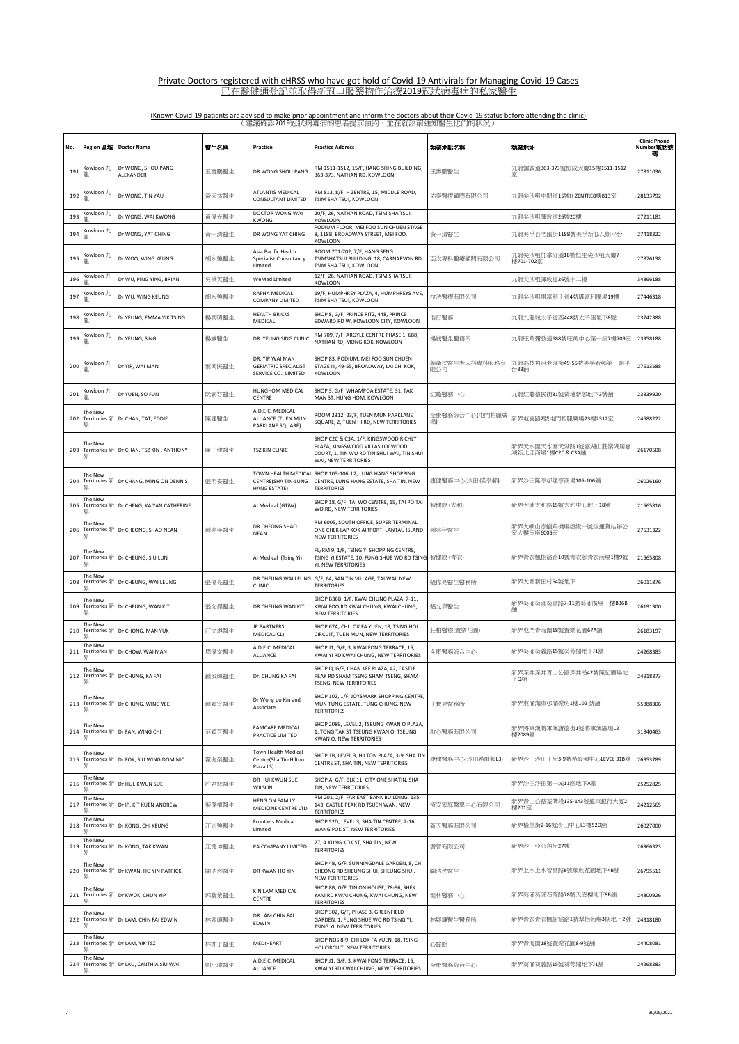| No. | Region 區域                            | <b>Doctor Name</b>              | 醫生名稱  | Practice                                                               | <b>Practice Address</b>                                                                                                                        | 執業地點名稱               | 執業地址                                        | <b>Clinic Phone</b><br>Number電話號 |
|-----|--------------------------------------|---------------------------------|-------|------------------------------------------------------------------------|------------------------------------------------------------------------------------------------------------------------------------------------|----------------------|---------------------------------------------|----------------------------------|
| 191 | Kowloon 九<br>龍                       | Dr WONG, SHOU PANG<br>ALEXANDER | 王壽鵬醫生 | DR WONG SHOU PANG                                                      | RM 1511-1512, 15/F, HANG SHING BUILDING,<br>363-373, NATHAN RD, KOWLOON                                                                        | 王壽鵬醫生                | 九龍彌敦道363-373號恒成大廈15樓1511-1512               | 27811036                         |
| 192 | Kowloon 九<br>蘼                       | Dr WONG, TIN YAU                | 黃天祐醫生 | ATLANTIS MEDICAL<br>CONSULTANT LIMITED                                 | RM 813, 8/F, H ZENTRE, 15, MIDDLE ROAD,<br>TSIM SHA TSUI, KOWLOON                                                                              | 佑泰醫療顧問有限公司           | 九龍尖沙咀中間道15號H ZENTRE8樓813室                   | 28133792                         |
| 193 | Kowloon 九<br>꼶                       | Dr WONG, WAI KWONG              | 黃偉光醫生 | DOCTOR WONG WAI<br>KWONG                                               | 20/F, 26, NATHAN ROAD, TSIM SHA TSUI,<br><b>KOWLOON</b>                                                                                        |                      | 九龍尖沙咀彌敦道26號20樓                              | 27211181                         |
| 194 | Kowloon 九<br>龍                       | Dr WONG, YAT CHING              | 黃一清醫生 | DR WONG YAT CHING                                                      | PODIUM FLOOR, MEI FOO SUN CHUEN STAGE<br>8, 118B, BROADWAY STREET, MEI FOO,<br><b>KOWLOON</b>                                                  | 黃一清醫生                | 九龍美孚百老匯街118B號美孚新邨八期平台                       | 27418322                         |
| 195 | Kowloon 九<br>龍                       | Dr WOO, WING KEUNG              | 胡永強醫生 | Asia Pacific Health<br><b>Specialist Consultancy</b><br>Limited        | ROOM 701-702, 7/F, HANG SENG<br>TSIMSHATSUI BUILDING, 18, CARNARVON RD,<br>TSIM SHA TSUI, KOWLOON                                              | 亞太專科醫療顧問有限公司         | 九龍尖沙咀加拿分道18號恒生尖沙咀大廈7<br>樓701-702室           | 27876138                         |
| 196 | Kowloon 九                            | Dr WU, PING YING, BRIAN         | 吳秉英醫生 | WeMed Limited                                                          | 12/F, 26, NATHAN ROAD, TSIM SHA TSUI,<br><b>KOWLOON</b>                                                                                        |                      | 九龍尖沙咀彌敦道26號十二樓                              | 34866188                         |
| 197 | Kowloon 九<br>瀧                       | Dr WU, WING KEUNG               | 胡永強醫生 | RAPHA MEDICAL<br><b>COMPANY LIMITED</b>                                | 19/F, HUMPHREY PLAZA, 4, HUMPHREYS AVE,<br>TSIM SHA TSUI, KOWLOON                                                                              | 拉法醫療有限公司             | 九龍尖沙咀堪富利士道4號堪富利廣場19樓                        | 27446318                         |
| 198 | Kowloon 九<br>龍                       | Dr YEUNG, EMMA YIK TSING        | 楊奕晴醫生 | <b>HEALTH BRICKS</b><br>MEDICAL                                        | SHOP 8, G/F, PRINCE RITZ, 448, PRINCE<br>EDWARD RD W, KOWLOON CITY, KOWLOON                                                                    | 偕行醫務                 | 九龍九龍城太子道西448號太子匯地下8號                        | 23742388                         |
| 199 | Kowloon 九<br>龍                       | Dr YEUNG, SING                  | 楊誠醫生  | DR. YEUNG SING CLINIC                                                  | RM 709, 7/F, ARGYLE CENTRE PHASE 1, 688,<br>NATHAN RD, MONG KOK, KOWLOON                                                                       | 楊誠醫生醫務所              | 九龍旺角彌敦道688號旺角中心第一座7樓709室                    | 23958188                         |
| 200 | Kowloon 九<br>蘼                       | Dr YIP, WAI MAN                 | 葉衛民醫生 | DR. YIP WAI MAN<br><b>GERIATRIC SPECIALIST</b><br>SERVICE CO., LIMITED | SHOP 83, PODIUM, MEI FOO SUN CHUEN<br>STAGE III, 49-55, BROADWAY, LAI CHI KOK,<br>KOWLOON                                                      | 葉衛民醫生老人科專科服務有<br>限公司 | 九龍荔枝角百老匯街49-55號美孚新邨第三期平<br>台83鋪             | 27613588                         |
| 201 | Kowloon 九<br>龍                       | Dr YUEN, SO FUN                 | 阮素芬醫生 | HUNGHOM MEDICAL<br>CENTRE                                              | SHOP 3, G/F, WHAMPOA ESTATE, 31, TAK<br>MAN ST, HUNG HOM, KOWLOON                                                                              | 紅磡醫務中心               | 九龍紅磡德民街31號黃埔新邨地下3號舖                         | 23339920                         |
| 202 | The New<br>Territories 新<br>界        | Dr CHAN, TAT, EDDIE             | 陳達醫生  | A.D.E.C. MEDICAL<br>ALLIANCE (TUEN MUN<br>PARKLANE SQUARE)             | ROOM 2312, 23/F, TUEN MUN PARKLANE<br>SQUARE, 2, TUEN HI RD, NEW TERRITORIES                                                                   | 全康醫務綜合中心(屯門柏麗廣<br>場) | 新界屯喜路2號屯門栢麗廣場23樓2312室                       | 24588222                         |
| 203 | The New<br>Territories 新<br>界        | Dr CHAN, TSZ KIN, ANTHONY       | 陳子建醫生 | TSZ KIN CLINIC                                                         | SHOP C2C & C3A, 1/F, KINGSWOOD RICHLY<br>PLAZA, KINGSWOOD VILLAS LOCWOOD<br>COURT, 1, TIN WU RD TIN SHUI WAI, TIN SHUI<br>WAI, NEW TERRITORIES |                      | 新界天水圍天水圍天湖路1號嘉湖山莊樂湖居嘉<br>湖新北江商場1樓C2C & C3A舖 | 26170508                         |
| 204 | The New<br><b>Territories</b> 新<br>界 | Dr CHANG, MING ON DENNIS        | 張明安醫生 | CENTRE(SHA TIN-LUNG<br>HANG ESTATE)                                    | TOWN HEALTH MEDICAL SHOP 105-106, L2, LUNG HANG SHOPPING<br>CENTRE, LUNG HANG ESTATE, SHA TIN, NEW<br><b>TERRITORIES</b>                       | 康健醫務中心(沙田-隆亨邨)       | 新界沙田隆亨邨隆亨商場105-106舖                         | 26026160                         |
| 205 | The New<br>Territories 新<br>界        | Dr CHENG, KA YAN CATHERINE      |       | Al Medical (GTiW)                                                      | SHOP 18, G/F, TAI WO CENTRE, 15, TAI PO TAI<br>WO RD, NEW TERRITORIES                                                                          | 智健康 (太和)             | 新界大埔太和路15號太和中心地下18舖                         | 21565816                         |
| 206 | The New<br>Territories 新<br>界        | Dr CHEONG, SHAO NEAN            | 鍾兆年醫生 | DR CHEONG SHAO<br><b>NEAN</b>                                          | RM 6005, SOUTH OFFICE, SUPER TERMINAL<br>ONE CHEK LAP KOK AIRPORT, LANTAU ISLAND,<br><b>NEW TERRITORIES</b>                                    | 鍾兆年醫生                | 新界大嶼山赤蠟角機場超級一號空運貨站辦公<br>室大樓南座6005室          | 27531322                         |
| 207 | The New<br>Territories 新<br>界        | Dr CHEUNG, SIU LUN              |       | Al Medical (Tsing Yi)                                                  | FL/RM 9, 1/F, TSING YI SHOPPING CENTRE,<br>TSING YI ESTATE, 10, FUNG SHUE WO RD TSING<br>YI, NEW TERRITORIES                                   | 智健康 (青衣)             | 新界青衣楓樹窩路10號青衣邨青衣商場1樓9號                      | 21565808                         |
| 208 | The New<br>Territories 新<br>界        | Dr CHEUNG, WAI LEUNG            | 張偉亮醫生 | DR CHEUNG WAI LEUNG<br>CLINIC                                          | G/F, 64, SAN TIN VILLAGE, TAI WAI, NEW<br><b>TERRITORIES</b>                                                                                   | 張偉亮醫生醫務所             | 新界大圍新田村64號地下                                | 26011876                         |
| 209 | The New<br>Territories 新<br>界        | Dr CHEUNG, WAN KIT              | 張允傑醫生 | DR CHEUNG WAN KIT                                                      | SHOP B36B, 1/F, KWAI CHUNG PLAZA, 7-11,<br>KWAI FOO RD KWAI CHUNG, KWAI CHUNG,<br><b>NEW TERRITORIES</b>                                       | 張允傑醫生                | 新界葵涌葵涌葵富路7-11號葵涌廣場一樓B36B                    | 26191300                         |
| 210 | The New<br>Territories 新<br>珼        | Dr CHONG, MAN YUK               | 莊文煜醫生 | <b>JP PARTNERS</b><br>MEDICAL(CL)                                      | SHOP 67A, CHI LOK FA YUEN, 18, TSING HOI<br>CIRCUIT, TUEN MUN, NEW TERRITORIES                                                                 | 莊柏醫療(置樂花園)           | 新界屯門青海圍18號置樂花園67A舖                          | 26183197                         |
| 211 | The New<br>Territories 第             | Dr CHOW, WAI MAN                | 周偉文醫生 | A.D.E.C. MEDICAL<br>ALLIANCE                                           | SHOP J1, G/F, 3, KWAI FONG TERRACE, 15,<br>KWAI YI RD KWAI CHUNG, NEW TERRITORIES                                                              | 全康醫務綜合中心             | 新界葵涌葵義路15號葵芳閣地下J1舖                          | 24268383                         |
| 212 | The New                              | Territories 新 Dr CHUNG, KA FAI  | 鍾家輝醫生 | Dr. CHUNG KA FAI                                                       | SHOP Q, G/F, CHAN KEE PLAZA, 42, CASTLE<br>PEAK RD SHAM TSENG SHAM TSENG, SHAM<br>TSENG, NEW TERRITORIES                                       |                      | 新界深井深井青山公路深井段42號陳記廣場地<br>下Q舗                | 24918373                         |
| 213 | The New<br>Territories 新<br>界        | Dr CHUNG, WING YEE              | 鍾穎宜醫生 | Dr Wong po Kin and<br>Associate                                        | SHOP 102, 1/F, JOYSMARK SHOPPING CENTRE,<br>MUN TUNG ESTATE, TUNG CHUNG, NEW<br><b>TERRITORIES</b>                                             | 王寶見醫務所               | 新界東涌滿東邨滿樂坊1樓102號鋪                           | 55888306                         |
| 214 | The New<br>Territories 新<br>界        | Dr FAN, WING CHI                | 范穎芝醫生 | <b>FAMCARE MEDICAL</b><br>PRACTICE LIMITED                             | SHOP 2089, LEVEL 2, TSEUNG KWAN O PLAZA,<br>1, TONG TAK ST TSEUNG KWAN O, TSEUNG<br>KWAN O, NEW TERRITORIES                                    | 啟心醫務有限公司             | 新界將軍澳將軍澳唐德街1號將軍澳廣場L2<br>樓2089舖              | 31840463                         |
| 215 | The New<br>Territories #<br>界        | Dr FOK, SIU WING DOMINIC        | 霍兆榮醫生 | Town Health Medical<br>Centre(Sha Tin-Hilton<br>Plaza L3)              | SHOP 1B, LEVEL 3, HILTON PLAZA, 3-9, SHA TIN<br>CENTRE ST, SHA TIN, NEW TERRITORIES                                                            | 康健醫務中心(沙田希爾頓L3)      | 新界沙田沙田正街3-9號希爾頓中心LEVEL 31B舗                 | 26953789                         |
| 216 | The New<br>Territories 新             | Dr HUI, KWUN SUE                | 許君恕醫生 | DR HUI KWUN SUE<br>WILSON                                              | SHOP A, G/F, BLK 11, CITY ONE SHATIN, SHA<br>TIN. NEW TERRITORIES<br>RM 201, 2/F, FAR EAST BANK BUILDING, 135-                                 |                      | 新界沙田沙田第一城11座地下A室                            | 25252825                         |
| 217 | The New<br>Territories 第             | Dr IP, KIT KUEN ANDREW          | 葉傑權醫生 | <b>HENG ON FAMILY</b><br>MEDICINE CENTRE LTD                           | 143, CASTLE PEAK RD TSUEN WAN, NEW<br><b>TERRITORIES</b>                                                                                       | 恆安家庭醫學中心有限公司         | 新界青山公路荃灣段135-143號遠東銀行大廈2<br>樓201室           | 24212565                         |
| 218 | The New<br>Territories 新<br>珼        | Dr KONG, CHI KEUNG              | 江志強醫生 | <b>Frontiers Medical</b><br>Limited                                    | SHOP 52D, LEVEL 3, SHA TIN CENTRE, 2-16,<br>WANG POK ST, NEW TERRITORIES                                                                       | 新天醫務有限公司             | 新界横壆街2-16號沙田中心L3樓52D鋪                       | 26027000                         |
| 219 | The New<br>Territories 第<br>吳        | Dr KONG, TAK KWAN               | 江德坤醫生 | PA COMPANY LIMITED                                                     | 27, A KUNG KOK ST, SHA TIN, NEW<br><b>TERRITORIES</b>                                                                                          | 耆智有限公司               | 新界沙田亞公角街27號                                 | 26366323                         |
| 220 | The New<br>Territories 新<br>界        | Dr KWAN, HO YIN PATRICK         | 關浩然醫生 | DR KWAN HO YIN                                                         | SHOP 4B, G/F, SUNNINGDALE GARDEN, 8, CHI<br>CHEONG RD SHEUNG SHUI, SHEUNG SHUI,<br><b>NEW TERRITORIES</b>                                      | 關浩然醫生                | 新界上水上水智昌路8號順欣花園地下4B舖                        | 26795511                         |
| 221 | The New<br>Territories 第<br>累        | Dr KWOK, CHUN YIP               | 郭駿業醫生 | KIN LAM MEDICAL<br><b>CENTRE</b>                                       | SHOP 8B, G/F, TIN ON HOUSE, 78-96, SHEK<br>YAM RD KWAI CHUNG, KWAI CHUNG, NEW<br><b>TERRITORIES</b>                                            | 健林醫務中心               | 新界葵涌葵涌石蔭路78號天安樓地下8B舖                        | 24800926                         |
| 222 | The New<br>Territories 新<br>界        | Dr LAM, CHIN FAI EDWIN          | 林展輝醫生 | DR LAM CHIN FAI<br>EDWIN                                               | SHOP 302, G/F, PHASE 3, GREENFIELD<br>GARDEN, 1, FUNG SHUE WO RD TSING YI,<br>TSING YI, NEW TERRITORIES                                        | 林展輝醫生醫務所             | 新界青衣青衣楓樹窩路1號翠怡商場3期地下2鋪                      | 24318180                         |
| 223 | The New<br>Territories 新             | Dr LAM, YIK TSZ                 | 林亦子醫生 | MEDIHEART                                                              | SHOP NOS 8-9, CHI LOK FA YUEN, 18, TSING<br>HOI CIRCUIT, NEW TERRITORIES                                                                       | 心醫館                  | 新界青海圍18號置樂花園8-9號舖                           | 24408081                         |
| 224 | The New<br>Territories 新             | Dr LAU, CYNTHIA SIU WAI         | 劉小瑋醫生 | A.D.E.C. MEDICAL<br>ALLIANCE                                           | SHOP J1, G/F, 3, KWAI FONG TERRACE, 15,<br>KWAI YI RD KWAI CHUNG, NEW TERRITORIES                                                              | 全康醫務綜合中心             | 新界葵涌葵義路15號葵芳閣地下J1舖                          | 24268383                         |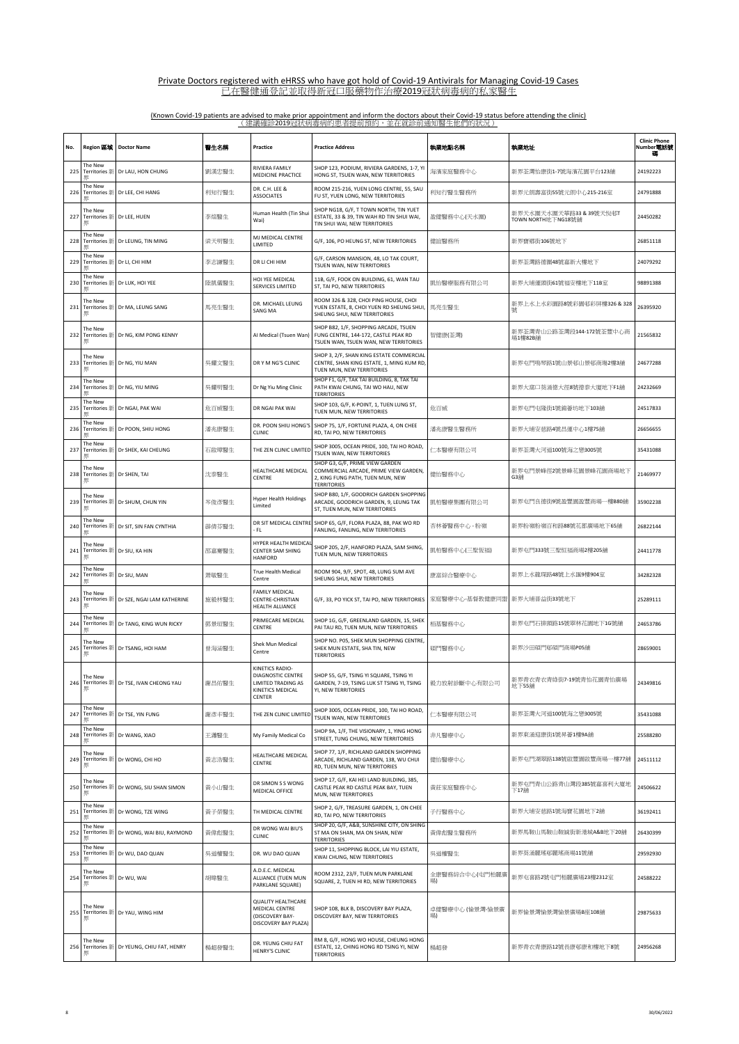| No. | Region 區域                                  | <b>Doctor Name</b>                       | 醫生名稱  | Practice                                                                                                | <b>Practice Address</b>                                                                                                            | 執業地點名稱                | 執業地址                                          | <b>Clinic Phone</b><br>Number電話號<br>磭 |
|-----|--------------------------------------------|------------------------------------------|-------|---------------------------------------------------------------------------------------------------------|------------------------------------------------------------------------------------------------------------------------------------|-----------------------|-----------------------------------------------|---------------------------------------|
| 225 | The New<br>Territories 新                   | Dr LAU, HON CHUNG                        | 劉漢忠醫生 | RIVIERA FAMILY<br>MEDICINE PRACTICE                                                                     | SHOP 123, PODIUM, RIVIERA GARDENS, 1-7, YI<br>HONG ST, TSUEN WAN, NEW TERRITORIES                                                  | 海濱家庭醫務中心              | 新界荃灣怡康街1-7號海濱花園平台123舖                         | 24192223                              |
| 226 | The New<br><b>Territories</b> 新            | Dr LEE, CHI HANG                         | 利知行醫生 | DR. C.H. LEE &<br><b>ASSOCIATES</b>                                                                     | ROOM 215-216, YUEN LONG CENTRE, 55, SAU<br>FU ST, YUEN LONG, NEW TERRITORIES                                                       | 利知行醫生醫務所              | 新界元朗壽富街55號元朗中心215-216室                        | 24791888                              |
| 227 | The New<br>累                               | Territories 新 Dr LEE, HUEN               | 李煊醫生  | Human Health (Tin Shui<br>Wai)                                                                          | SHOP NG18, G/F, T TOWN NORTH, TIN YUET<br>ESTATE, 33 & 39, TIN WAH RD TIN SHUI WAI,<br>TIN SHUI WAI, NEW TERRITORIES               | 盈健醫務中心(天水圍)           | 新界天水圍天水圍天華路33 & 39號天悅邨T<br>TOWN NORTH地下NG18號鋪 | 24450282                              |
| 228 | The New<br>Territories 新                   | Dr LEUNG, TIN MING                       | 梁天明醫生 | MJ MEDICAL CENTRE<br>LIMITED                                                                            | G/F, 106, PO HEUNG ST, NEW TERRITORIES                                                                                             | 健誼醫務所                 | 新界寶鄉街106號地下                                   | 26851118                              |
| 229 | The New<br>Territories 新                   | Dr LI, CHI HIM                           | 李志謙醫生 | DR LI CHI HIM                                                                                           | G/F, CARSON MANSION, 48, LO TAK COURT,<br>TSUEN WAN, NEW TERRITORIES                                                               |                       | 新界荃灣路德圍48號嘉新大樓地下                              | 24079292                              |
| 230 | The New<br>Territories 新                   | Dr LUK, HOI YEE                          | 陸凱儀醫生 | HOI YEE MEDICAL<br>SERVICES LIMITED                                                                     | 11B, G/F, FOOK ON BUILDING, 61, WAN TAU<br>ST, TAI PO, NEW TERRITORIES                                                             | 凱怡醫療服務有限公司            | 新界大埔運頭街61號福安樓地下11B室                           | 98891388                              |
| 231 | The New<br>界                               | Territories 新 Dr MA, LEUNG SANG          | 馬亮生醫生 | DR. MICHAEL LEUNG<br>SANG MA                                                                            | ROOM 326 & 328, CHOI PING HOUSE, CHOI<br>YUEN ESTATE, 8, CHOI YUEN RD SHEUNG SHUI,<br>SHEUNG SHUI, NEW TERRITORIES                 | 馬亮生醫生                 | 新界上水上水彩園路8號彩園邨彩屏樓326 & 328                    | 26395920                              |
| 232 | The New<br>界                               | Territories 新 Dr NG, KIM PONG KENNY      |       | AI Medical (Tsuen Wan)                                                                                  | SHOP B82, 1/F, SHOPPING ARCADE, TSUEN<br>FUNG CENTRE, 144-172, CASTLE PEAK RD<br>TSUEN WAN, TSUEN WAN, NEW TERRITORIES             | 智健康(荃灣)               | 新界荃灣青山公路荃灣段144-172號荃豐中心商<br>場1樓82B舗           | 21565832                              |
| 233 | The New<br>界                               | Territories 新 Dr NG, YIU MAN             | 吳耀文醫生 | DR Y M NG'S CLINIC                                                                                      | SHOP 3, 2/F, SHAN KING ESTATE COMMERCIAL<br>CENTRE, SHAN KING ESTATE, 1, MING KUM RD,<br>TUEN MUN, NEW TERRITORIES                 |                       | 新界屯門鳴琴路1號山景邨山景邨商塲2樓3舖                         | 24677288                              |
| 234 | The New<br>Territories 新                   | Dr NG, YIU MING                          | 吳耀明醫生 | Dr Ng Yiu Ming Clinic                                                                                   | SHOP F1, G/F, TAK TAI BUILDING, 8, TAK TAI<br>PATH KWAI CHUNG, TAI WO HAU, NEW<br><b>TERRITORIES</b>                               |                       | 新界大窩口葵涌德大徑8號德泰大廈地下F1舖                         | 24232669                              |
| 235 | The New<br><b>Territories</b> 新            | Dr NGAI, PAK WAI                         | 危百威醫生 | DR NGAI PAK WA                                                                                          | SHOP 103, G/F, K-POINT, 1, TUEN LUNG ST,<br>TUEN MUN, NEW TERRITORIES                                                              | 危百威                   | 新界屯門屯隆街1號錦薈坊地下103舖                            | 24517833                              |
| 236 | The New<br>Territories 新                   | Dr POON, SHIU HONG                       | 潘兆康醫生 | DR. POON SHIU HONG'S<br><b>CLINIC</b>                                                                   | SHOP 75, 1/F, FORTUNE PLAZA, 4, ON CHEE<br>RD, TAI PO, NEW TERRITORIES                                                             | 潘兆康醫生醫務所              | 新界大埔安慈路4號昌運中心1樓75舖                            | 26656655                              |
| 237 | The New<br>Territories 新<br>果              | Dr SHEK, KAI CHEUNG                      | 石啟璋醫生 | THE ZEN CLINIC LIMITED                                                                                  | SHOP 3005, OCEAN PRIDE, 100, TAI HO ROAD,<br>TSUEN WAN, NEW TERRITORIES                                                            | 仁本醫療有限公司              | 新界荃灣大河道100號海之戀3005號                           | 35431088                              |
| 238 | The New<br>Territories 新 Dr SHEN, TAI<br>界 |                                          | 沈泰醫生  | HEALTHCARE MEDICAL<br>CENTRE                                                                            | SHOP G3, G/F, PRIME VIEW GARDEN<br>COMMERCIAL ARCADE, PRIME VIEW GARDEN,<br>2, KING FUNG PATH, TUEN MUN, NEW<br><b>TERRITORIES</b> | 健怡醫務中心                | 新界屯門景峰徑2號景峰花園景峰花園商場地下<br>G3颔                  | 21469977                              |
| 239 | The New                                    | Territories 新 Dr SHUM, CHUN YIN          | 岑俊彥醫生 | <b>Hyper Health Holdings</b><br>Limited                                                                 | SHOP B80, 1/F, GOODRICH GARDEN SHOPPING<br>ARCADE, GOODRICH GARDEN, 9, LEUNG TAK<br>ST, TUEN MUN, NEW TERRITORIES                  | 凱柏醫療集團有限公司            | 新界屯門良徳街9號盈豐園盈豐商場一樓B80舖                        | 35902238                              |
| 240 | The New<br>累                               | Territories 新 Dr SIT, SIN FAN CYNTHIA    | 薜倩芬醫生 | - FL                                                                                                    | DR SIT MEDICAL CENTRE SHOP 65, G/F, FLORA PLAZA, 88, PAK WO RD<br>FANLING, FANLING, NEW TERRITORIES                                | 杏林薈醫務中心 - 粉嶺          | 新界粉嶺粉嶺百和路88號花都廣場地下65舖                         | 26822144                              |
| 241 | The New<br>界                               | Territories 新 Dr SIU, KA HIN             | 邵嘉騫醫生 | HYPER HEALTH MEDICA<br>CENTER SAM SHING<br>HANFORD                                                      | SHOP 205, 2/F, HANFORD PLAZA, SAM SHING,<br>TUEN MUN, NEW TERRITORIES                                                              | 凱柏醫務中心(三聖恆福)          | 新界屯門333號三聖恒福商場2樓205舖                          | 24411778                              |
| 242 | The New<br>Territories 新                   | Dr SIU, MAN                              | 萧敏醫生  | True Health Medical<br>Centre                                                                           | ROOM 904, 9/F, SPOT, 48, LUNG SUM AVE<br>SHEUNG SHUI, NEW TERRITORIES                                                              | 康富綜合醫療中心              | 新界上水龍琛路48號上水匯9樓904室                           | 34282328                              |
| 243 | The New<br>界                               | Territories 新 Dr SZE, NGAI LAM KATHERINE | 施毅林醫生 | <b>FAMILY MEDICAL</b><br>CENTRE-CHRISTIAN<br>HEALTH ALLIANCE                                            | G/F, 33, PO YICK ST, TAI PO, NEW TERRITORIES                                                                                       | 家庭醫療中心-基督教健康同盟        | 新界大埔普益街33號地下                                  | 25289111                              |
| 244 | The New<br>Territories 新<br>煛              | Dr TANG, KING WUN RICKY                  | 鄧景垣醫生 | PRIMECARE MEDICAL<br>CENTRE                                                                             | SHOP 1G, G/F, GREENLAND GARDEN, 15, SHEK<br>PAI TAU RD, TUEN MUN, NEW TERRITORIES                                                  | 栢基醫務中心                | 新界屯門石排頭路15號翠林花園地下1G號舖                         | 24653786                              |
| 245 | The New                                    | Territories 新 Dr TSANG, HOI HAM          | 曾海涵醫生 | Shek Mun Medical<br>Centre                                                                              | SHOP NO. P05, SHEK MUN SHOPPING CENTRE<br>SHEK MUN ESTATE, SHA TIN, NEW<br><b>TERRITORIES</b>                                      | 碩門醫務中心                | 新界沙田碩門邨碩門商場P05舖                               | 28659001                              |
| 246 | The New<br>界                               | Territories # Dr TSF. IVAN CHEONG YAU    | 謝昌佑醫生 | KINETICS RADIO-<br><b>DIAGNOSTIC CENTRE</b><br><b>I IMITED TRADING AS</b><br>KINETICS MEDICAL<br>CENTER | SHOP 55, G/F, TSING YI SQUARE, TSING YI<br>GARDEN, 7-19, TSING LUK ST TSING YI, TSING<br>YI, NEW TERRITORIES                       | 毅力放射診斷中心有限公司          | 新界青衣青衣青綠街7-19號青怡花園青怡廣場<br>地下55舖               | 24349816                              |
| 247 | The New                                    | Territories 新 Dr TSE, YIN FUNG           | 謝彥丰醫生 | THE ZEN CLINIC LIMITED                                                                                  | SHOP 3005, OCEAN PRIDE, 100, TAI HO ROAD,<br>TSUEN WAN, NEW TERRITORIES                                                            | 仁本醫療有限公司              | 新界荃灣大河道100號海之戀3005號                           | 35431088                              |
| 248 | The New<br>Territories 新                   | Dr WANG, XIAO                            | 王瀟醫生  | My Family Medical Co                                                                                    | SHOP 9A, 1/F, THE VISIONARY, 1, YING HONG<br>STREET, TUNG CHUNG, NEW TERRITORIES                                                   | 非凡醫療中心                | 新界東涌迎康街1號昇薈1樓9A舖                              | 25588280                              |
| 249 | The New<br>界                               | Territories 新 Dr WONG, CHI HO            | 黃志浩醫生 | HEALTHCARE MEDICAL<br>CENTRE                                                                            | SHOP 77, 1/F, RICHLAND GARDEN SHOPPING<br>ARCADE, RICHLAND GARDEN, 138, WU CHUI<br>RD, TUEN MUN, NEW TERRITORIES                   | 健怡醫療中心                | 新界屯門湖翠路138號啟豐園啟豐商場一樓77舖                       | 24511112                              |
| 250 | The New<br>界                               | Territories 新 Dr WONG, SIU SHAN SIMON    | 黃小山醫生 | DR SIMON S S WONG<br>MEDICAL OFFICE                                                                     | SHOP 17, G/F, KAI HEI LAND BUILDING, 385,<br>CASTLE PEAK RD CASTLE PEAK BAY, TUEN<br>MUN. NEW TERRITORIES                          | 黃莊家庭醫務中心              | 新界屯門青山公路青山灣段385號嘉喜利大廈地<br>下17舖                | 24506622                              |
| 251 | The New<br>Territories 新                   | Dr WONG, TZE WING                        | 黃子榮醫生 | TH MEDICAL CENTRE                                                                                       | SHOP 2, G/F, TREASURE GARDEN, 1, ON CHEE<br>RD, TAI PO, NEW TERRITORIES                                                            | 子行醫務中心                | 新界大埔安慈路1號海寶花園地下2舖                             | 36192411                              |
| 252 | The New<br><b>Territories</b> 新            | Dr WONG, WAI BIU, RAYMOND                | 黃偉彪醫生 | DR WONG WAI BIU'S<br>CLINIC                                                                             | SHOP 20, G/F, A&B, SUNSHINE CITY, ON SHING<br>ST MA ON SHAN, MA ON SHAN, NEW<br><b>TERRITORIES</b>                                 | 黃偉彪醫生醫務所              | 新界馬鞍山馬鞍山鞍誠街新港城A&B地下20舖                        | 26430399                              |
| 253 | The New<br>累                               | Territories 新 Dr WU, DAO QUAN            | 吳道權醫生 | DR. WU DAO QUAN                                                                                         | SHOP 11, SHOPPING BLOCK, LAI YIU ESTATE,<br>KWAI CHUNG, NEW TERRITORIES                                                            | 吳道權醫生                 | 新界葵涌麗瑤邨麗瑤商場11號舖                               | 29592930                              |
| 254 | The New<br>Territories 新 Dr WU, WAI<br>界   |                                          | 胡暐醫生  | A.D.E.C. MEDICAL<br>ALLIANCE (TUEN MUN<br>PARKLANE SQUARE)                                              | ROOM 2312, 23/F, TUEN MUN PARKLANE<br>SQUARE, 2, TUEN HI RD, NEW TERRITORIES                                                       | 全康醫務綜合中心(屯門柏麗廣<br>場)  | 新界屯喜路2號屯門栢麗廣場23樓2312室                         | 24588222                              |
| 255 | The New<br>界                               | Territories 新 Dr YAU, WING HIM           |       | <b>QUALITY HEALTHCARE</b><br>MEDICAL CENTRE<br>(DISCOVERY BAY-<br>DISCOVERY BAY PLAZA)                  | SHOP 108, BLK B, DISCOVERY BAY PLAZA,<br>DISCOVERY BAY, NEW TERRITORIES                                                            | 卓健醫療中心 (愉景灣-愉景廣<br>場) | 新界愉景灣愉景灣愉景廣場B座108舖                            | 29875633                              |
| 256 | The New<br>男                               | Territories 新 Dr YEUNG, CHIU FAT, HENRY  | 楊超發醫生 | DR. YEUNG CHIU FAT<br>HENRY'S CLINIC                                                                    | RM 8, G/F, HONG WO HOUSE, CHEUNG HONG<br>ESTATE, 12, CHING HONG RD TSING YI, NEW<br><b>TERRITORIES</b>                             | 楊超發                   | 新界青衣青康路12號長康邨康和樓地下8號                          | 24956268                              |